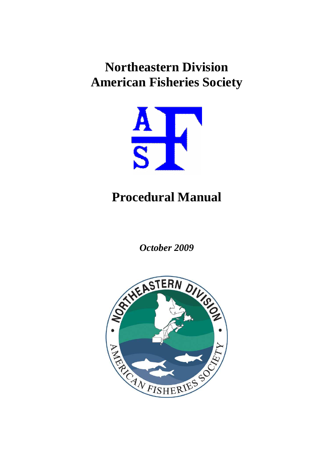# **Northeastern Division American Fisheries Society**



# **Procedural Manual**

*October 2009* 

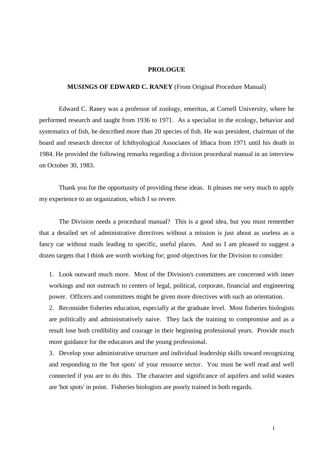#### **PROLOGUE**

#### **MUSINGS OF EDWARD C. RANEY** (From Original Procedure Manual)

Edward C. Raney was a professor of zoology, emeritus, at Cornell University, where he performed research and taught from 1936 to 1971. As a specialist in the ecology, behavior and systematics of fish, he described more than 20 species of fish. He was president, chairman of the board and research director of Ichthyological Associates of Ithaca from 1971 until his death in 1984. He provided the following remarks regarding a division procedural manual in an interview on October 30, 1983.

Thank you for the opportunity of providing these ideas. It pleases me very much to apply my experience to an organization, which I so revere.

The Division needs a procedural manual? This is a good idea, but you must remember that a detailed set of administrative directives without a mission is just about as useless as a fancy car without roads leading to specific, useful places. And so I am pleased to suggest a dozen targets that I think are worth working for; good objectives for the Division to consider:

1. Look outward much more. Most of the Division's committees are concerned with inner workings and not outreach to centers of legal, political, corporate, financial and engineering power. Officers and committees might be given more directives with such an orientation.

2. Reconsider fisheries education, especially at the graduate level. Most fisheries biologists are politically and administratively naive. They lack the training to compromise and as a result lose both credibility and courage in their beginning professional years. Provide much more guidance for the educators and the young professional.

3. Develop your administrative structure and individual leadership skills toward recognizing and responding to the 'hot spots' of your resource sector. You must be well read and well connected if you are to do this. The character and significance of aquifers and solid wastes are 'hot spots' in point. Fisheries biologists are poorly trained in both regards.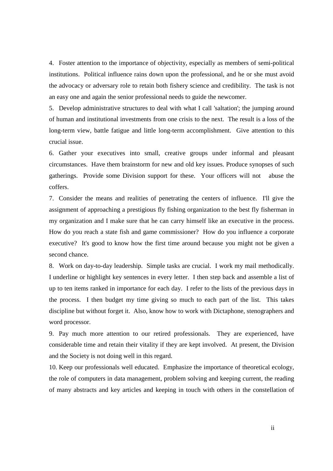4. Foster attention to the importance of objectivity, especially as members of semi-political institutions. Political influence rains down upon the professional, and he or she must avoid the advocacy or adversary role to retain both fishery science and credibility. The task is not an easy one and again the senior professional needs to guide the newcomer.

5. Develop administrative structures to deal with what I call 'saltation'; the jumping around of human and institutional investments from one crisis to the next. The result is a loss of the long-term view, battle fatigue and little long-term accomplishment. Give attention to this crucial issue.

6. Gather your executives into small, creative groups under informal and pleasant circumstances. Have them brainstorm for new and old key issues. Produce synopses of such gatherings. Provide some Division support for these. Your officers will not abuse the coffers.

7. Consider the means and realities of penetrating the centers of influence. I'll give the assignment of approaching a prestigious fly fishing organization to the best fly fisherman in my organization and I make sure that he can carry himself like an executive in the process. How do you reach a state fish and game commissioner? How do you influence a corporate executive? It's good to know how the first time around because you might not be given a second chance.

8. Work on day-to-day leadership. Simple tasks are crucial. I work my mail methodically. I underline or highlight key sentences in every letter. I then step back and assemble a list of up to ten items ranked in importance for each day. I refer to the lists of the previous days in the process. I then budget my time giving so much to each part of the list. This takes discipline but without forget it. Also, know how to work with Dictaphone, stenographers and word processor.

9. Pay much more attention to our retired professionals. They are experienced, have considerable time and retain their vitality if they are kept involved. At present, the Division and the Society is not doing well in this regard.

10. Keep our professionals well educated. Emphasize the importance of theoretical ecology, the role of computers in data management, problem solving and keeping current, the reading of many abstracts and key articles and keeping in touch with others in the constellation of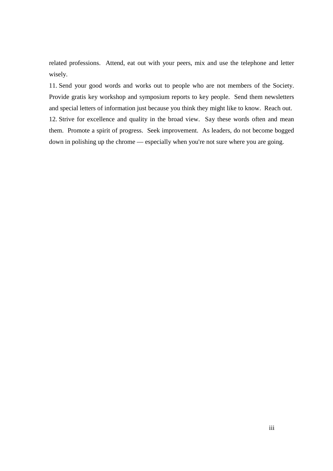related professions. Attend, eat out with your peers, mix and use the telephone and letter wisely.

11. Send your good words and works out to people who are not members of the Society. Provide gratis key workshop and symposium reports to key people. Send them newsletters and special letters of information just because you think they might like to know. Reach out. 12. Strive for excellence and quality in the broad view. Say these words often and mean them. Promote a spirit of progress. Seek improvement. As leaders, do not become bogged down in polishing up the chrome — especially when you're not sure where you are going.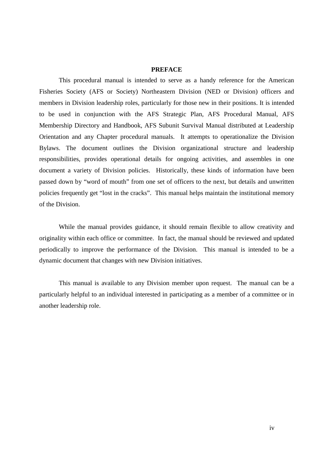#### **PREFACE**

This procedural manual is intended to serve as a handy reference for the American Fisheries Society (AFS or Society) Northeastern Division (NED or Division) officers and members in Division leadership roles, particularly for those new in their positions. It is intended to be used in conjunction with the AFS Strategic Plan, AFS Procedural Manual, AFS Membership Directory and Handbook, AFS Subunit Survival Manual distributed at Leadership Orientation and any Chapter procedural manuals. It attempts to operationalize the Division Bylaws. The document outlines the Division organizational structure and leadership responsibilities, provides operational details for ongoing activities, and assembles in one document a variety of Division policies. Historically, these kinds of information have been passed down by "word of mouth" from one set of officers to the next, but details and unwritten policies frequently get "lost in the cracks". This manual helps maintain the institutional memory of the Division.

While the manual provides guidance, it should remain flexible to allow creativity and originality within each office or committee. In fact, the manual should be reviewed and updated periodically to improve the performance of the Division. This manual is intended to be a dynamic document that changes with new Division initiatives.

This manual is available to any Division member upon request. The manual can be a particularly helpful to an individual interested in participating as a member of a committee or in another leadership role.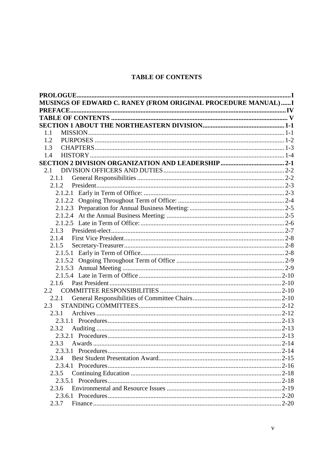# **TABLE OF CONTENTS**

| MUSINGS OF EDWARD C. RANEY (FROM ORIGINAL PROCEDURE MANUAL)  I |           |
|----------------------------------------------------------------|-----------|
|                                                                |           |
|                                                                |           |
|                                                                |           |
| 1.1                                                            |           |
| 1.2                                                            |           |
| 1.3                                                            |           |
| 1.4                                                            |           |
|                                                                |           |
| 2.1                                                            |           |
| 2.1.1                                                          |           |
| 2.1.2                                                          |           |
|                                                                |           |
|                                                                |           |
|                                                                |           |
|                                                                |           |
|                                                                |           |
| 2.1.3                                                          |           |
| 2.1.4                                                          |           |
| 2.1.5                                                          |           |
|                                                                |           |
|                                                                |           |
|                                                                |           |
|                                                                |           |
|                                                                |           |
|                                                                |           |
| 2.2.1                                                          |           |
| 2.3                                                            |           |
| 2.3.1                                                          |           |
|                                                                |           |
| 2.3.2                                                          |           |
|                                                                |           |
| 233 Awards                                                     | $-2 - 14$ |
|                                                                |           |
| 2.3.4                                                          |           |
|                                                                |           |
| 2.3.5                                                          |           |
|                                                                |           |
| 2.3.6                                                          |           |
|                                                                |           |
| 2.3.7                                                          |           |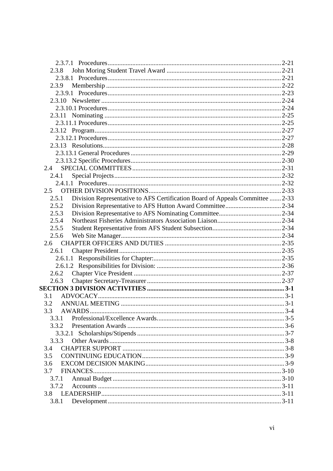| 2.3.8                                                                                  |  |
|----------------------------------------------------------------------------------------|--|
|                                                                                        |  |
| 2.3.9                                                                                  |  |
|                                                                                        |  |
|                                                                                        |  |
|                                                                                        |  |
|                                                                                        |  |
|                                                                                        |  |
|                                                                                        |  |
|                                                                                        |  |
|                                                                                        |  |
|                                                                                        |  |
|                                                                                        |  |
|                                                                                        |  |
| 2.4                                                                                    |  |
| 2.4.1                                                                                  |  |
|                                                                                        |  |
| 2.5                                                                                    |  |
| Division Representative to AFS Certification Board of Appeals Committee  2-33<br>2.5.1 |  |
| 2.5.2                                                                                  |  |
| 2.5.3                                                                                  |  |
| 2.5.4                                                                                  |  |
| 2.5.5                                                                                  |  |
| 2.5.6                                                                                  |  |
|                                                                                        |  |
| 2.6.1                                                                                  |  |
|                                                                                        |  |
|                                                                                        |  |
| 2.6.2                                                                                  |  |
| 2.6.3                                                                                  |  |
|                                                                                        |  |
| 3.1                                                                                    |  |
| 3.2                                                                                    |  |
| 3.3                                                                                    |  |
| 3.3.1                                                                                  |  |
| 3.3.2                                                                                  |  |
|                                                                                        |  |
| 3.3.3                                                                                  |  |
| 3.4                                                                                    |  |
|                                                                                        |  |
| 3.5                                                                                    |  |
| 3.6                                                                                    |  |
| 3.7                                                                                    |  |
| 3.7.1                                                                                  |  |
| 3.7.2                                                                                  |  |
| 3.8                                                                                    |  |
| 3.8.1                                                                                  |  |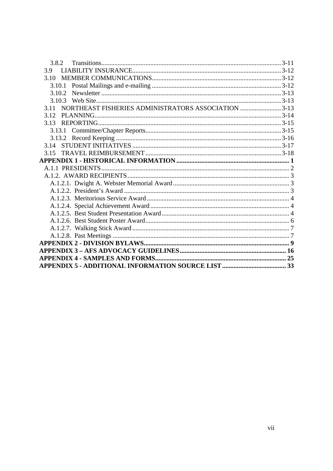| 3.9                                                         |  |
|-------------------------------------------------------------|--|
|                                                             |  |
|                                                             |  |
|                                                             |  |
|                                                             |  |
| NORTHEAST FISHERIES ADMINISTRATORS ASSOCIATION 3-13<br>3.11 |  |
| 3.12                                                        |  |
|                                                             |  |
|                                                             |  |
|                                                             |  |
| 3.14                                                        |  |
|                                                             |  |
|                                                             |  |
|                                                             |  |
|                                                             |  |
|                                                             |  |
|                                                             |  |
|                                                             |  |
|                                                             |  |
|                                                             |  |
|                                                             |  |
|                                                             |  |
|                                                             |  |
|                                                             |  |
|                                                             |  |
|                                                             |  |
|                                                             |  |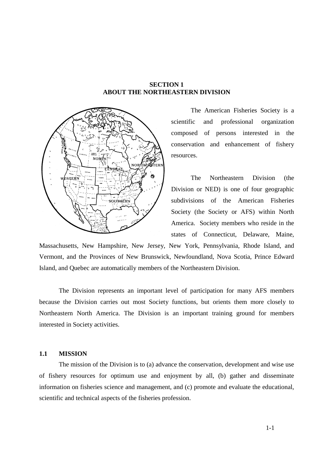# **SECTION 1 ABOUT THE NORTHEASTERN DIVISION**



The American Fisheries Society is a scientific and professional organization composed of persons interested in the conservation and enhancement of fishery resources.

The Northeastern Division (the Division or NED) is one of four geographic subdivisions of the American Fisheries Society (the Society or AFS) within North America. Society members who reside in the states of Connecticut, Delaware, Maine,

Massachusetts, New Hampshire, New Jersey, New York, Pennsylvania, Rhode Island, and Vermont, and the Provinces of New Brunswick, Newfoundland, Nova Scotia, Prince Edward Island, and Quebec are automatically members of the Northeastern Division.

The Division represents an important level of participation for many AFS members because the Division carries out most Society functions, but orients them more closely to Northeastern North America. The Division is an important training ground for members interested in Society activities.

# **1.1 MISSION**

The mission of the Division is to (a) advance the conservation, development and wise use of fishery resources for optimum use and enjoyment by all, (b) gather and disseminate information on fisheries science and management, and (c) promote and evaluate the educational, scientific and technical aspects of the fisheries profession.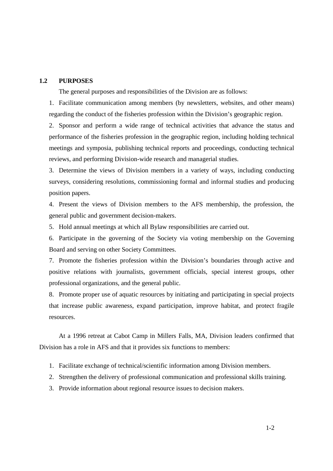## **1.2 PURPOSES**

The general purposes and responsibilities of the Division are as follows:

1. Facilitate communication among members (by newsletters, websites, and other means) regarding the conduct of the fisheries profession within the Division's geographic region.

2. Sponsor and perform a wide range of technical activities that advance the status and performance of the fisheries profession in the geographic region, including holding technical meetings and symposia, publishing technical reports and proceedings, conducting technical reviews, and performing Division-wide research and managerial studies.

3. Determine the views of Division members in a variety of ways, including conducting surveys, considering resolutions, commissioning formal and informal studies and producing position papers.

4. Present the views of Division members to the AFS membership, the profession, the general public and government decision-makers.

5. Hold annual meetings at which all Bylaw responsibilities are carried out.

6. Participate in the governing of the Society via voting membership on the Governing Board and serving on other Society Committees.

7. Promote the fisheries profession within the Division's boundaries through active and positive relations with journalists, government officials, special interest groups, other professional organizations, and the general public.

8. Promote proper use of aquatic resources by initiating and participating in special projects that increase public awareness, expand participation, improve habitat, and protect fragile resources.

At a 1996 retreat at Cabot Camp in Millers Falls, MA, Division leaders confirmed that Division has a role in AFS and that it provides six functions to members:

- 1. Facilitate exchange of technical/scientific information among Division members.
- 2. Strengthen the delivery of professional communication and professional skills training.
- 3. Provide information about regional resource issues to decision makers.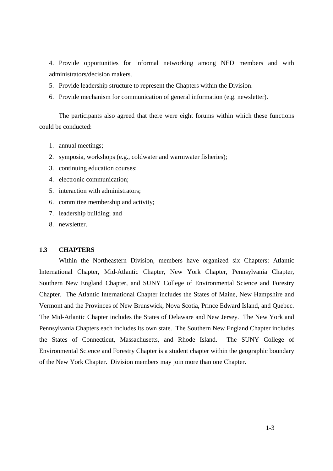4. Provide opportunities for informal networking among NED members and with administrators/decision makers.

- 5. Provide leadership structure to represent the Chapters within the Division.
- 6. Provide mechanism for communication of general information (e.g. newsletter).

The participants also agreed that there were eight forums within which these functions could be conducted:

- 1. annual meetings;
- 2. symposia, workshops (e.g., coldwater and warmwater fisheries);
- 3. continuing education courses;
- 4. electronic communication;
- 5. interaction with administrators;
- 6. committee membership and activity;
- 7. leadership building; and
- 8. newsletter.

## **1.3 CHAPTERS**

Within the Northeastern Division, members have organized six Chapters: Atlantic International Chapter, Mid-Atlantic Chapter, New York Chapter, Pennsylvania Chapter, Southern New England Chapter, and SUNY College of Environmental Science and Forestry Chapter. The Atlantic International Chapter includes the States of Maine, New Hampshire and Vermont and the Provinces of New Brunswick, Nova Scotia, Prince Edward Island, and Quebec. The Mid-Atlantic Chapter includes the States of Delaware and New Jersey. The New York and Pennsylvania Chapters each includes its own state. The Southern New England Chapter includes the States of Connecticut, Massachusetts, and Rhode Island. The SUNY College of Environmental Science and Forestry Chapter is a student chapter within the geographic boundary of the New York Chapter. Division members may join more than one Chapter.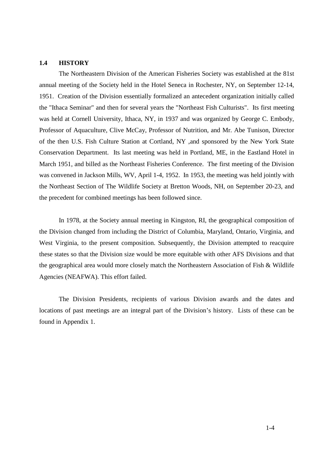## **1.4 HISTORY**

The Northeastern Division of the American Fisheries Society was established at the 81st annual meeting of the Society held in the Hotel Seneca in Rochester, NY, on September 12-14, 1951. Creation of the Division essentially formalized an antecedent organization initially called the "Ithaca Seminar" and then for several years the "Northeast Fish Culturists". Its first meeting was held at Cornell University, Ithaca, NY, in 1937 and was organized by George C. Embody, Professor of Aquaculture, Clive McCay, Professor of Nutrition, and Mr. Abe Tunison, Director of the then U.S. Fish Culture Station at Cortland, NY ,and sponsored by the New York State Conservation Department. Its last meeting was held in Portland, ME, in the Eastland Hotel in March 1951, and billed as the Northeast Fisheries Conference. The first meeting of the Division was convened in Jackson Mills, WV, April 1-4, 1952. In 1953, the meeting was held jointly with the Northeast Section of The Wildlife Society at Bretton Woods, NH, on September 20-23, and the precedent for combined meetings has been followed since.

In 1978, at the Society annual meeting in Kingston, RI, the geographical composition of the Division changed from including the District of Columbia, Maryland, Ontario, Virginia, and West Virginia, to the present composition. Subsequently, the Division attempted to reacquire these states so that the Division size would be more equitable with other AFS Divisions and that the geographical area would more closely match the Northeastern Association of Fish & Wildlife Agencies (NEAFWA). This effort failed.

The Division Presidents, recipients of various Division awards and the dates and locations of past meetings are an integral part of the Division's history. Lists of these can be found in Appendix 1.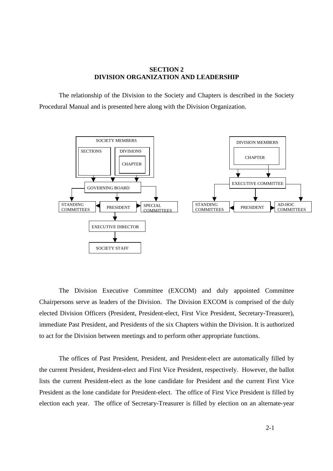# **SECTION 2 DIVISION ORGANIZATION AND LEADERSHIP**

The relationship of the Division to the Society and Chapters is described in the Society Procedural Manual and is presented here along with the Division Organization.



The Division Executive Committee (EXCOM) and duly appointed Committee Chairpersons serve as leaders of the Division. The Division EXCOM is comprised of the duly elected Division Officers (President, President-elect, First Vice President, Secretary-Treasurer), immediate Past President, and Presidents of the six Chapters within the Division. It is authorized to act for the Division between meetings and to perform other appropriate functions.

The offices of Past President, President, and President-elect are automatically filled by the current President, President-elect and First Vice President, respectively. However, the ballot lists the current President-elect as the lone candidate for President and the current First Vice President as the lone candidate for President-elect. The office of First Vice President is filled by election each year. The office of Secretary-Treasurer is filled by election on an alternate-year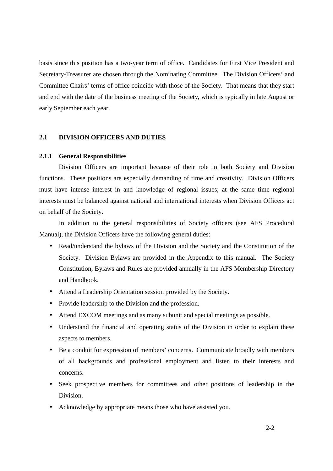basis since this position has a two-year term of office. Candidates for First Vice President and Secretary-Treasurer are chosen through the Nominating Committee. The Division Officers' and Committee Chairs' terms of office coincide with those of the Society. That means that they start and end with the date of the business meeting of the Society, which is typically in late August or early September each year.

## **2.1 DIVISION OFFICERS AND DUTIES**

# **2.1.1 General Responsibilities**

Division Officers are important because of their role in both Society and Division functions. These positions are especially demanding of time and creativity. Division Officers must have intense interest in and knowledge of regional issues; at the same time regional interests must be balanced against national and international interests when Division Officers act on behalf of the Society.

In addition to the general responsibilities of Society officers (see AFS Procedural Manual), the Division Officers have the following general duties:

- Read/understand the bylaws of the Division and the Society and the Constitution of the Society. Division Bylaws are provided in the Appendix to this manual. The Society Constitution, Bylaws and Rules are provided annually in the AFS Membership Directory and Handbook.
- Attend a Leadership Orientation session provided by the Society.
- Provide leadership to the Division and the profession.
- Attend EXCOM meetings and as many subunit and special meetings as possible.
- Understand the financial and operating status of the Division in order to explain these aspects to members.
- Be a conduit for expression of members' concerns. Communicate broadly with members of all backgrounds and professional employment and listen to their interests and concerns.
- Seek prospective members for committees and other positions of leadership in the Division.
- Acknowledge by appropriate means those who have assisted you.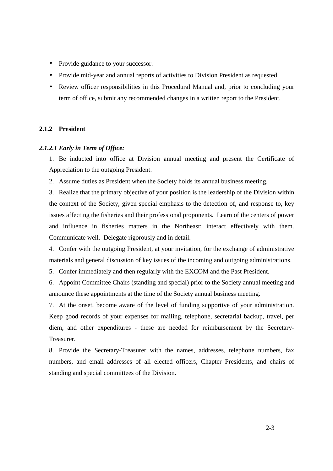- Provide guidance to your successor.
- Provide mid-year and annual reports of activities to Division President as requested.
- Review officer responsibilities in this Procedural Manual and, prior to concluding your term of office, submit any recommended changes in a written report to the President.

# **2.1.2 President**

# *2.1.2.1 Early in Term of Office:*

1. Be inducted into office at Division annual meeting and present the Certificate of Appreciation to the outgoing President.

2. Assume duties as President when the Society holds its annual business meeting.

3. Realize that the primary objective of your position is the leadership of the Division within the context of the Society, given special emphasis to the detection of, and response to, key issues affecting the fisheries and their professional proponents. Learn of the centers of power and influence in fisheries matters in the Northeast; interact effectively with them. Communicate well. Delegate rigorously and in detail.

4. Confer with the outgoing President, at your invitation, for the exchange of administrative materials and general discussion of key issues of the incoming and outgoing administrations.

5. Confer immediately and then regularly with the EXCOM and the Past President.

6. Appoint Committee Chairs (standing and special) prior to the Society annual meeting and announce these appointments at the time of the Society annual business meeting.

7. At the onset, become aware of the level of funding supportive of your administration. Keep good records of your expenses for mailing, telephone, secretarial backup, travel, per diem, and other expenditures - these are needed for reimbursement by the Secretary-Treasurer.

8. Provide the Secretary-Treasurer with the names, addresses, telephone numbers, fax numbers, and email addresses of all elected officers, Chapter Presidents, and chairs of standing and special committees of the Division.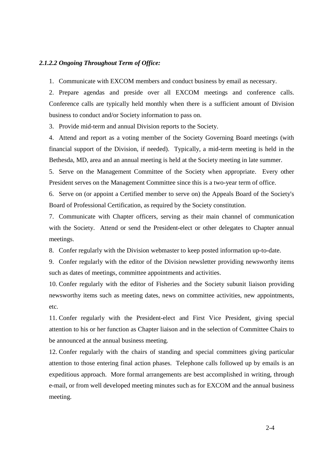## *2.1.2.2 Ongoing Throughout Term of Office:*

1. Communicate with EXCOM members and conduct business by email as necessary.

2. Prepare agendas and preside over all EXCOM meetings and conference calls. Conference calls are typically held monthly when there is a sufficient amount of Division business to conduct and/or Society information to pass on.

3. Provide mid-term and annual Division reports to the Society.

4. Attend and report as a voting member of the Society Governing Board meetings (with financial support of the Division, if needed). Typically, a mid-term meeting is held in the Bethesda, MD, area and an annual meeting is held at the Society meeting in late summer.

5. Serve on the Management Committee of the Society when appropriate. Every other President serves on the Management Committee since this is a two-year term of office.

6. Serve on (or appoint a Certified member to serve on) the Appeals Board of the Society's Board of Professional Certification, as required by the Society constitution.

7. Communicate with Chapter officers, serving as their main channel of communication with the Society. Attend or send the President-elect or other delegates to Chapter annual meetings.

8. Confer regularly with the Division webmaster to keep posted information up-to-date.

9. Confer regularly with the editor of the Division newsletter providing newsworthy items such as dates of meetings, committee appointments and activities.

10. Confer regularly with the editor of Fisheries and the Society subunit liaison providing newsworthy items such as meeting dates, news on committee activities, new appointments, etc.

11. Confer regularly with the President-elect and First Vice President, giving special attention to his or her function as Chapter liaison and in the selection of Committee Chairs to be announced at the annual business meeting.

12. Confer regularly with the chairs of standing and special committees giving particular attention to those entering final action phases. Telephone calls followed up by emails is an expeditious approach. More formal arrangements are best accomplished in writing, through e-mail, or from well developed meeting minutes such as for EXCOM and the annual business meeting.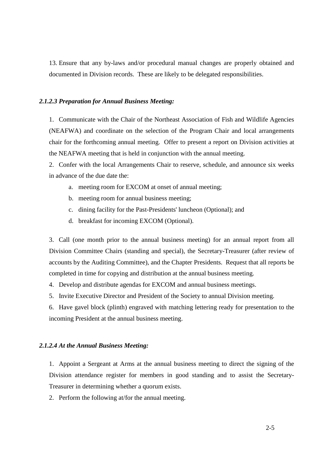13. Ensure that any by-laws and/or procedural manual changes are properly obtained and documented in Division records. These are likely to be delegated responsibilities.

## *2.1.2.3 Preparation for Annual Business Meeting:*

1. Communicate with the Chair of the Northeast Association of Fish and Wildlife Agencies (NEAFWA) and coordinate on the selection of the Program Chair and local arrangements chair for the forthcoming annual meeting. Offer to present a report on Division activities at the NEAFWA meeting that is held in conjunction with the annual meeting.

2. Confer with the local Arrangements Chair to reserve, schedule, and announce six weeks in advance of the due date the:

- a. meeting room for EXCOM at onset of annual meeting;
- b. meeting room for annual business meeting;
- c. dining facility for the Past-Presidents' luncheon (Optional); and
- d. breakfast for incoming EXCOM (Optional).

3. Call (one month prior to the annual business meeting) for an annual report from all Division Committee Chairs (standing and special), the Secretary-Treasurer (after review of accounts by the Auditing Committee), and the Chapter Presidents. Request that all reports be completed in time for copying and distribution at the annual business meeting.

4. Develop and distribute agendas for EXCOM and annual business meetings.

5. Invite Executive Director and President of the Society to annual Division meeting.

6. Have gavel block (plinth) engraved with matching lettering ready for presentation to the incoming President at the annual business meeting.

# *2.1.2.4 At the Annual Business Meeting:*

1. Appoint a Sergeant at Arms at the annual business meeting to direct the signing of the Division attendance register for members in good standing and to assist the Secretary-Treasurer in determining whether a quorum exists.

2. Perform the following at/for the annual meeting.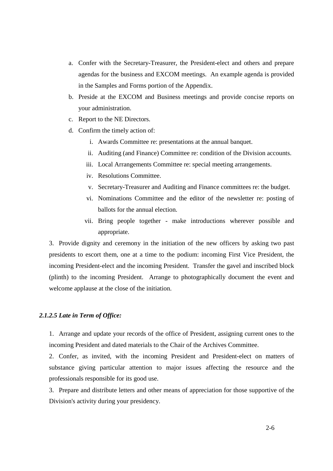- a. Confer with the Secretary-Treasurer, the President-elect and others and prepare agendas for the business and EXCOM meetings. An example agenda is provided in the Samples and Forms portion of the Appendix.
- b. Preside at the EXCOM and Business meetings and provide concise reports on your administration.
- c. Report to the NE Directors.
- d. Confirm the timely action of:
	- i. Awards Committee re: presentations at the annual banquet.
	- ii. Auditing (and Finance) Committee re: condition of the Division accounts.
	- iii. Local Arrangements Committee re: special meeting arrangements.
	- iv. Resolutions Committee.
	- v. Secretary-Treasurer and Auditing and Finance committees re: the budget.
	- vi. Nominations Committee and the editor of the newsletter re: posting of ballots for the annual election.
	- vii. Bring people together make introductions wherever possible and appropriate.

3. Provide dignity and ceremony in the initiation of the new officers by asking two past presidents to escort them, one at a time to the podium: incoming First Vice President, the incoming President-elect and the incoming President. Transfer the gavel and inscribed block (plinth) to the incoming President. Arrange to photographically document the event and welcome applause at the close of the initiation.

## *2.1.2.5 Late in Term of Office:*

1. Arrange and update your records of the office of President, assigning current ones to the incoming President and dated materials to the Chair of the Archives Committee.

2. Confer, as invited, with the incoming President and President-elect on matters of substance giving particular attention to major issues affecting the resource and the professionals responsible for its good use.

3. Prepare and distribute letters and other means of appreciation for those supportive of the Division's activity during your presidency.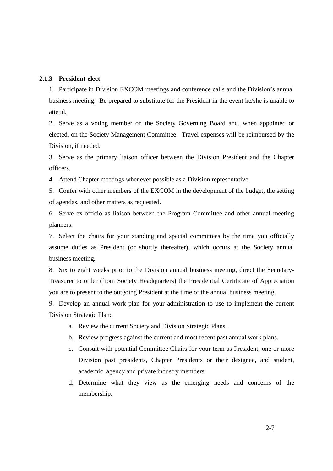## **2.1.3 President-elect**

1. Participate in Division EXCOM meetings and conference calls and the Division's annual business meeting. Be prepared to substitute for the President in the event he/she is unable to attend.

2. Serve as a voting member on the Society Governing Board and, when appointed or elected, on the Society Management Committee. Travel expenses will be reimbursed by the Division, if needed.

3. Serve as the primary liaison officer between the Division President and the Chapter officers.

4. Attend Chapter meetings whenever possible as a Division representative.

5. Confer with other members of the EXCOM in the development of the budget, the setting of agendas, and other matters as requested.

6. Serve ex-officio as liaison between the Program Committee and other annual meeting planners.

7. Select the chairs for your standing and special committees by the time you officially assume duties as President (or shortly thereafter), which occurs at the Society annual business meeting.

8. Six to eight weeks prior to the Division annual business meeting, direct the Secretary-Treasurer to order (from Society Headquarters) the Presidential Certificate of Appreciation you are to present to the outgoing President at the time of the annual business meeting.

9. Develop an annual work plan for your administration to use to implement the current Division Strategic Plan:

- a. Review the current Society and Division Strategic Plans.
- b. Review progress against the current and most recent past annual work plans.
- c. Consult with potential Committee Chairs for your term as President, one or more Division past presidents, Chapter Presidents or their designee, and student, academic, agency and private industry members.
- d. Determine what they view as the emerging needs and concerns of the membership.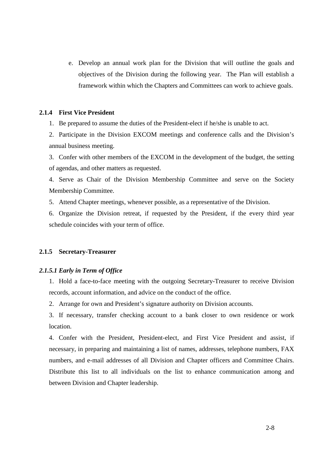e. Develop an annual work plan for the Division that will outline the goals and objectives of the Division during the following year. The Plan will establish a framework within which the Chapters and Committees can work to achieve goals.

### **2.1.4 First Vice President**

1. Be prepared to assume the duties of the President-elect if he/she is unable to act.

2. Participate in the Division EXCOM meetings and conference calls and the Division's annual business meeting.

3. Confer with other members of the EXCOM in the development of the budget, the setting of agendas, and other matters as requested.

4. Serve as Chair of the Division Membership Committee and serve on the Society Membership Committee.

5. Attend Chapter meetings, whenever possible, as a representative of the Division.

6. Organize the Division retreat, if requested by the President, if the every third year schedule coincides with your term of office.

## **2.1.5 Secretary-Treasurer**

## *2.1.5.1 Early in Term of Office*

1. Hold a face-to-face meeting with the outgoing Secretary-Treasurer to receive Division records, account information, and advice on the conduct of the office.

2. Arrange for own and President's signature authority on Division accounts.

3. If necessary, transfer checking account to a bank closer to own residence or work location.

4. Confer with the President, President-elect, and First Vice President and assist, if necessary, in preparing and maintaining a list of names, addresses, telephone numbers, FAX numbers, and e-mail addresses of all Division and Chapter officers and Committee Chairs. Distribute this list to all individuals on the list to enhance communication among and between Division and Chapter leadership.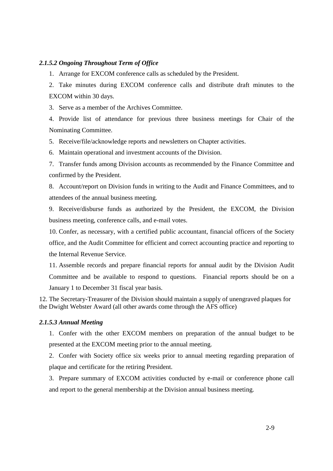# *2.1.5.2 Ongoing Throughout Term of Office*

1. Arrange for EXCOM conference calls as scheduled by the President.

2. Take minutes during EXCOM conference calls and distribute draft minutes to the EXCOM within 30 days.

3. Serve as a member of the Archives Committee.

4. Provide list of attendance for previous three business meetings for Chair of the Nominating Committee.

5. Receive/file/acknowledge reports and newsletters on Chapter activities.

6. Maintain operational and investment accounts of the Division.

7. Transfer funds among Division accounts as recommended by the Finance Committee and confirmed by the President.

8. Account/report on Division funds in writing to the Audit and Finance Committees, and to attendees of the annual business meeting.

9. Receive/disburse funds as authorized by the President, the EXCOM, the Division business meeting, conference calls, and e-mail votes.

10. Confer, as necessary, with a certified public accountant, financial officers of the Society office, and the Audit Committee for efficient and correct accounting practice and reporting to the Internal Revenue Service.

11. Assemble records and prepare financial reports for annual audit by the Division Audit Committee and be available to respond to questions. Financial reports should be on a January 1 to December 31 fiscal year basis.

12. The Secretary-Treasurer of the Division should maintain a supply of unengraved plaques for the Dwight Webster Award (all other awards come through the AFS office)

# *2.1.5.3 Annual Meeting*

1. Confer with the other EXCOM members on preparation of the annual budget to be presented at the EXCOM meeting prior to the annual meeting.

2. Confer with Society office six weeks prior to annual meeting regarding preparation of plaque and certificate for the retiring President.

3. Prepare summary of EXCOM activities conducted by e-mail or conference phone call and report to the general membership at the Division annual business meeting.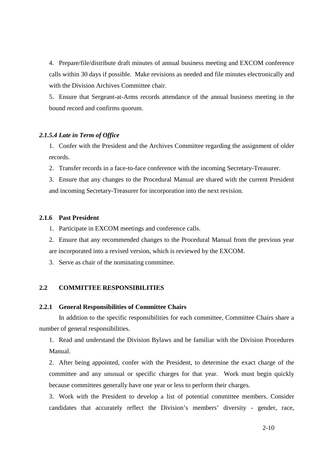4. Prepare/file/distribute draft minutes of annual business meeting and EXCOM conference calls within 30 days if possible. Make revisions as needed and file minutes electronically and with the Division Archives Committee chair.

5. Ensure that Sergeant-at-Arms records attendance of the annual business meeting in the bound record and confirms quorum.

# *2.1.5.4 Late in Term of Office*

1. Confer with the President and the Archives Committee regarding the assignment of older records.

2. Transfer records in a face-to-face conference with the incoming Secretary-Treasurer.

3. Ensure that any changes to the Procedural Manual are shared with the current President and incoming Secretary-Treasurer for incorporation into the next revision.

# **2.1.6 Past President**

- 1. Participate in EXCOM meetings and conference calls.
- 2. Ensure that any recommended changes to the Procedural Manual from the previous year are incorporated into a revised version, which is reviewed by the EXCOM.
- 3. Serve as chair of the nominating committee.

# **2.2 COMMITTEE RESPONSIBILITIES**

## **2.2.1 General Responsibilities of Committee Chairs**

In addition to the specific responsibilities for each committee, Committee Chairs share a number of general responsibilities.

1. Read and understand the Division Bylaws and be familiar with the Division Procedures Manual.

2. After being appointed, confer with the President, to determine the exact charge of the committee and any unusual or specific charges for that year. Work must begin quickly because committees generally have one year or less to perform their charges.

3. Work with the President to develop a list of potential committee members. Consider candidates that accurately reflect the Division's members' diversity - gender, race,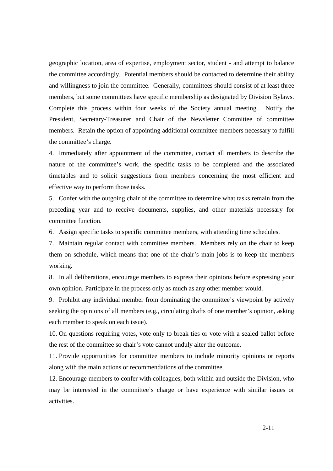geographic location, area of expertise, employment sector, student - and attempt to balance the committee accordingly. Potential members should be contacted to determine their ability and willingness to join the committee. Generally, committees should consist of at least three members, but some committees have specific membership as designated by Division Bylaws. Complete this process within four weeks of the Society annual meeting. Notify the President, Secretary-Treasurer and Chair of the Newsletter Committee of committee members. Retain the option of appointing additional committee members necessary to fulfill the committee's charge.

4. Immediately after appointment of the committee, contact all members to describe the nature of the committee's work, the specific tasks to be completed and the associated timetables and to solicit suggestions from members concerning the most efficient and effective way to perform those tasks.

5. Confer with the outgoing chair of the committee to determine what tasks remain from the preceding year and to receive documents, supplies, and other materials necessary for committee function.

6. Assign specific tasks to specific committee members, with attending time schedules.

7. Maintain regular contact with committee members. Members rely on the chair to keep them on schedule, which means that one of the chair's main jobs is to keep the members working.

8. In all deliberations, encourage members to express their opinions before expressing your own opinion. Participate in the process only as much as any other member would.

9. Prohibit any individual member from dominating the committee's viewpoint by actively seeking the opinions of all members (e.g., circulating drafts of one member's opinion, asking each member to speak on each issue).

10. On questions requiring votes, vote only to break ties or vote with a sealed ballot before the rest of the committee so chair's vote cannot unduly alter the outcome.

11. Provide opportunities for committee members to include minority opinions or reports along with the main actions or recommendations of the committee.

12. Encourage members to confer with colleagues, both within and outside the Division, who may be interested in the committee's charge or have experience with similar issues or activities.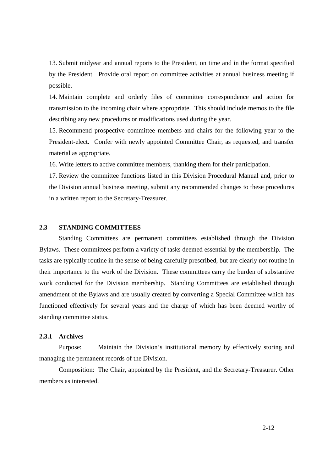13. Submit midyear and annual reports to the President, on time and in the format specified by the President. Provide oral report on committee activities at annual business meeting if possible.

14. Maintain complete and orderly files of committee correspondence and action for transmission to the incoming chair where appropriate. This should include memos to the file describing any new procedures or modifications used during the year.

15. Recommend prospective committee members and chairs for the following year to the President-elect. Confer with newly appointed Committee Chair, as requested, and transfer material as appropriate.

16. Write letters to active committee members, thanking them for their participation.

17. Review the committee functions listed in this Division Procedural Manual and, prior to the Division annual business meeting, submit any recommended changes to these procedures in a written report to the Secretary-Treasurer.

## **2.3 STANDING COMMITTEES**

Standing Committees are permanent committees established through the Division Bylaws. These committees perform a variety of tasks deemed essential by the membership. The tasks are typically routine in the sense of being carefully prescribed, but are clearly not routine in their importance to the work of the Division. These committees carry the burden of substantive work conducted for the Division membership. Standing Committees are established through amendment of the Bylaws and are usually created by converting a Special Committee which has functioned effectively for several years and the charge of which has been deemed worthy of standing committee status.

## **2.3.1 Archives**

Purpose: Maintain the Division's institutional memory by effectively storing and managing the permanent records of the Division.

Composition: The Chair, appointed by the President, and the Secretary-Treasurer. Other members as interested.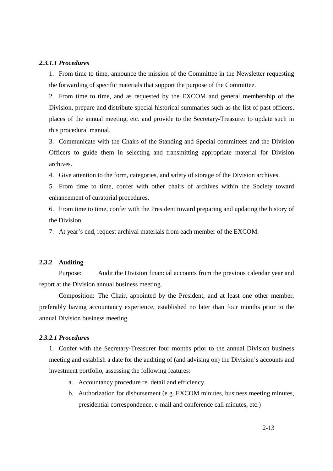## *2.3.1.1 Procedures*

1. From time to time, announce the mission of the Committee in the Newsletter requesting the forwarding of specific materials that support the purpose of the Committee.

2. From time to time, and as requested by the EXCOM and general membership of the Division, prepare and distribute special historical summaries such as the list of past officers, places of the annual meeting, etc. and provide to the Secretary-Treasurer to update such in this procedural manual.

3. Communicate with the Chairs of the Standing and Special committees and the Division Officers to guide them in selecting and transmitting appropriate material for Division archives.

4. Give attention to the form, categories, and safety of storage of the Division archives.

5. From time to time, confer with other chairs of archives within the Society toward enhancement of curatorial procedures.

6. From time to time, confer with the President toward preparing and updating the history of the Division.

7. At year's end, request archival materials from each member of the EXCOM.

# **2.3.2 Auditing**

Purpose: Audit the Division financial accounts from the previous calendar year and report at the Division annual business meeting.

Composition: The Chair, appointed by the President, and at least one other member, preferably having accountancy experience, established no later than four months prior to the annual Division business meeting.

### *2.3.2.1 Procedures*

1. Confer with the Secretary-Treasurer four months prior to the annual Division business meeting and establish a date for the auditing of (and advising on) the Division's accounts and investment portfolio, assessing the following features:

- a. Accountancy procedure re. detail and efficiency.
- b. Authorization for disbursement (e.g. EXCOM minutes, business meeting minutes, presidential correspondence, e-mail and conference call minutes, etc.)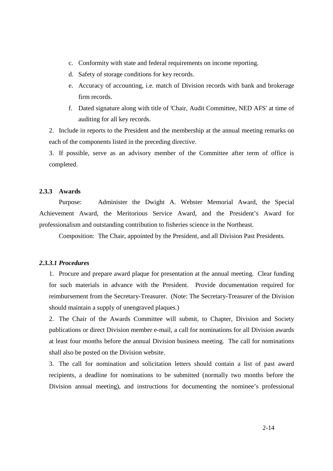- c. Conformity with state and federal requirements on income reporting.
- d. Safety of storage conditions for key records.
- e. Accuracy of accounting, i.e. match of Division records with bank and brokerage firm records.
- f. Dated signature along with title of 'Chair, Audit Committee, NED AFS' at time of auditing for all key records.

2. Include in reports to the President and the membership at the annual meeting remarks on each of the components listed in the preceding directive.

3. If possible, serve as an advisory member of the Committee after term of office is completed.

## **2.3.3 Awards**

Purpose: Administer the Dwight A. Webster Memorial Award, the Special Achievement Award, the Meritorious Service Award, and the President's Award for professionalism and outstanding contribution to fisheries science in the Northeast.

Composition: The Chair, appointed by the President, and all Division Past Presidents.

## *2.3.3.1 Procedures*

1. Procure and prepare award plaque for presentation at the annual meeting. Clear funding for such materials in advance with the President. Provide documentation required for reimbursement from the Secretary-Treasurer. (Note: The Secretary-Treasurer of the Division should maintain a supply of unengraved plaques.)

2. The Chair of the Awards Committee will submit, to Chapter, Division and Society publications or direct Division member e-mail, a call for nominations for all Division awards at least four months before the annual Division business meeting. The call for nominations shall also be posted on the Division website.

3. The call for nomination and solicitation letters should contain a list of past award recipients, a deadline for nominations to be submitted (normally two months before the Division annual meeting), and instructions for documenting the nominee's professional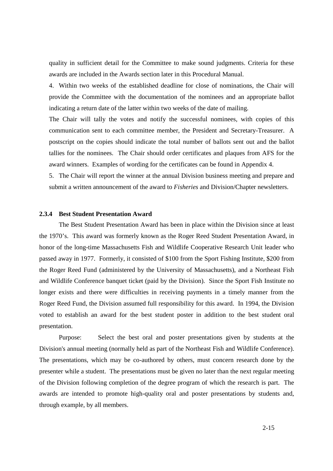quality in sufficient detail for the Committee to make sound judgments. Criteria for these awards are included in the Awards section later in this Procedural Manual.

4. Within two weeks of the established deadline for close of nominations, the Chair will provide the Committee with the documentation of the nominees and an appropriate ballot indicating a return date of the latter within two weeks of the date of mailing.

The Chair will tally the votes and notify the successful nominees, with copies of this communication sent to each committee member, the President and Secretary-Treasurer. A postscript on the copies should indicate the total number of ballots sent out and the ballot tallies for the nominees. The Chair should order certificates and plaques from AFS for the award winners. Examples of wording for the certificates can be found in Appendix 4.

5. The Chair will report the winner at the annual Division business meeting and prepare and submit a written announcement of the award to *Fisheries* and Division/Chapter newsletters.

### **2.3.4 Best Student Presentation Award**

The Best Student Presentation Award has been in place within the Division since at least the 1970's. This award was formerly known as the Roger Reed Student Presentation Award, in honor of the long-time Massachusetts Fish and Wildlife Cooperative Research Unit leader who passed away in 1977. Formerly, it consisted of \$100 from the Sport Fishing Institute, \$200 from the Roger Reed Fund (administered by the University of Massachusetts), and a Northeast Fish and Wildlife Conference banquet ticket (paid by the Division). Since the Sport Fish Institute no longer exists and there were difficulties in receiving payments in a timely manner from the Roger Reed Fund, the Division assumed full responsibility for this award. In 1994, the Division voted to establish an award for the best student poster in addition to the best student oral presentation.

Purpose: Select the best oral and poster presentations given by students at the Division's annual meeting (normally held as part of the Northeast Fish and Wildlife Conference). The presentations, which may be co-authored by others, must concern research done by the presenter while a student. The presentations must be given no later than the next regular meeting of the Division following completion of the degree program of which the research is part. The awards are intended to promote high-quality oral and poster presentations by students and, through example, by all members.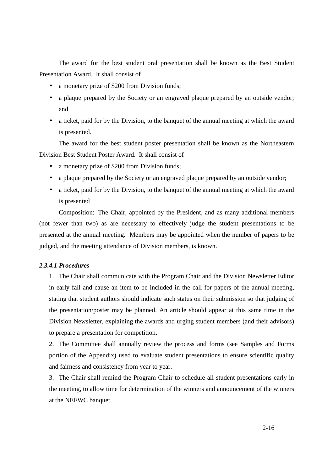The award for the best student oral presentation shall be known as the Best Student Presentation Award. It shall consist of

- a monetary prize of \$200 from Division funds:
- a plaque prepared by the Society or an engraved plaque prepared by an outside vendor; and
- a ticket, paid for by the Division, to the banquet of the annual meeting at which the award is presented.

The award for the best student poster presentation shall be known as the Northeastern Division Best Student Poster Award. It shall consist of

- a monetary prize of \$200 from Division funds;
- a plaque prepared by the Society or an engraved plaque prepared by an outside vendor;
- a ticket, paid for by the Division, to the banquet of the annual meeting at which the award is presented

Composition: The Chair, appointed by the President, and as many additional members (not fewer than two) as are necessary to effectively judge the student presentations to be presented at the annual meeting. Members may be appointed when the number of papers to be judged, and the meeting attendance of Division members, is known.

## *2.3.4.1 Procedures*

1. The Chair shall communicate with the Program Chair and the Division Newsletter Editor in early fall and cause an item to be included in the call for papers of the annual meeting, stating that student authors should indicate such status on their submission so that judging of the presentation/poster may be planned. An article should appear at this same time in the Division Newsletter, explaining the awards and urging student members (and their advisors) to prepare a presentation for competition.

2. The Committee shall annually review the process and forms (see Samples and Forms portion of the Appendix) used to evaluate student presentations to ensure scientific quality and fairness and consistency from year to year.

3. The Chair shall remind the Program Chair to schedule all student presentations early in the meeting, to allow time for determination of the winners and announcement of the winners at the NEFWC banquet.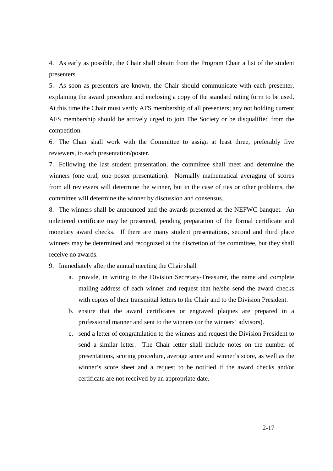4. As early as possible, the Chair shall obtain from the Program Chair a list of the student presenters.

5. As soon as presenters are known, the Chair should communicate with each presenter, explaining the award procedure and enclosing a copy of the standard rating form to be used. At this time the Chair must verify AFS membership of all presenters; any not holding current AFS membership should be actively urged to join The Society or be disqualified from the competition.

6. The Chair shall work with the Committee to assign at least three, preferably five reviewers, to each presentation/poster.

7. Following the last student presentation, the committee shall meet and determine the winners (one oral, one poster presentation). Normally mathematical averaging of scores from all reviewers will determine the winner, but in the case of ties or other problems, the committee will determine the winner by discussion and consensus.

8. The winners shall be announced and the awards presented at the NEFWC banquet. An unlettered certificate may be presented, pending preparation of the formal certificate and monetary award checks. If there are many student presentations, second and third place winners may be determined and recognized at the discretion of the committee, but they shall receive no awards.

9. Immediately after the annual meeting the Chair shall

- a. provide, in writing to the Division Secretary-Treasurer, the name and complete mailing address of each winner and request that he/she send the award checks with copies of their transmittal letters to the Chair and to the Division President.
- b. ensure that the award certificates or engraved plaques are prepared in a professional manner and sent to the winners (or the winners' advisors).
- c. send a letter of congratulation to the winners and request the Division President to send a similar letter. The Chair letter shall include notes on the number of presentations, scoring procedure, average score and winner's score, as well as the winner's score sheet and a request to be notified if the award checks and/or certificate are not received by an appropriate date.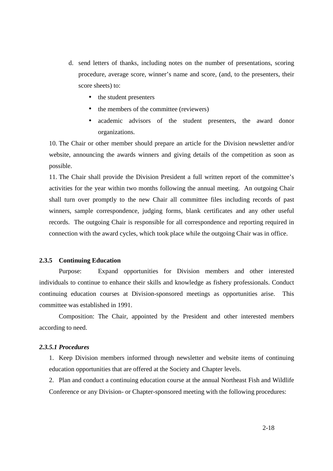- d. send letters of thanks, including notes on the number of presentations, scoring procedure, average score, winner's name and score, (and, to the presenters, their score sheets) to:
	- the student presenters
	- the members of the committee (reviewers)
	- academic advisors of the student presenters, the award donor organizations.

10. The Chair or other member should prepare an article for the Division newsletter and/or website, announcing the awards winners and giving details of the competition as soon as possible.

11. The Chair shall provide the Division President a full written report of the committee's activities for the year within two months following the annual meeting. An outgoing Chair shall turn over promptly to the new Chair all committee files including records of past winners, sample correspondence, judging forms, blank certificates and any other useful records. The outgoing Chair is responsible for all correspondence and reporting required in connection with the award cycles, which took place while the outgoing Chair was in office.

## **2.3.5 Continuing Education**

Purpose: Expand opportunities for Division members and other interested individuals to continue to enhance their skills and knowledge as fishery professionals. Conduct continuing education courses at Division-sponsored meetings as opportunities arise. This committee was established in 1991.

Composition: The Chair, appointed by the President and other interested members according to need.

## *2.3.5.1 Procedures*

1. Keep Division members informed through newsletter and website items of continuing education opportunities that are offered at the Society and Chapter levels.

2. Plan and conduct a continuing education course at the annual Northeast Fish and Wildlife Conference or any Division- or Chapter-sponsored meeting with the following procedures: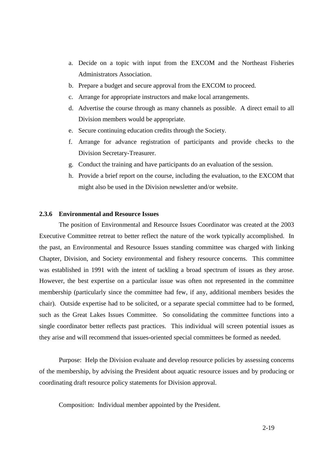- a. Decide on a topic with input from the EXCOM and the Northeast Fisheries Administrators Association.
- b. Prepare a budget and secure approval from the EXCOM to proceed.
- c. Arrange for appropriate instructors and make local arrangements.
- d. Advertise the course through as many channels as possible. A direct email to all Division members would be appropriate.
- e. Secure continuing education credits through the Society.
- f. Arrange for advance registration of participants and provide checks to the Division Secretary-Treasurer.
- g. Conduct the training and have participants do an evaluation of the session.
- h. Provide a brief report on the course, including the evaluation, to the EXCOM that might also be used in the Division newsletter and/or website.

## **2.3.6 Environmental and Resource Issues**

The position of Environmental and Resource Issues Coordinator was created at the 2003 Executive Committee retreat to better reflect the nature of the work typically accomplished. In the past, an Environmental and Resource Issues standing committee was charged with linking Chapter, Division, and Society environmental and fishery resource concerns. This committee was established in 1991 with the intent of tackling a broad spectrum of issues as they arose. However, the best expertise on a particular issue was often not represented in the committee membership (particularly since the committee had few, if any, additional members besides the chair). Outside expertise had to be solicited, or a separate special committee had to be formed, such as the Great Lakes Issues Committee. So consolidating the committee functions into a single coordinator better reflects past practices. This individual will screen potential issues as they arise and will recommend that issues-oriented special committees be formed as needed.

Purpose: Help the Division evaluate and develop resource policies by assessing concerns of the membership, by advising the President about aquatic resource issues and by producing or coordinating draft resource policy statements for Division approval.

Composition: Individual member appointed by the President.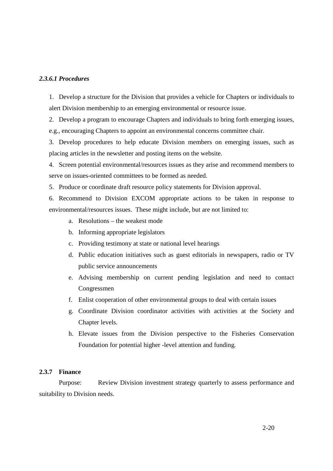#### *2.3.6.1 Procedures*

1. Develop a structure for the Division that provides a vehicle for Chapters or individuals to alert Division membership to an emerging environmental or resource issue.

2. Develop a program to encourage Chapters and individuals to bring forth emerging issues, e.g., encouraging Chapters to appoint an environmental concerns committee chair.

3. Develop procedures to help educate Division members on emerging issues, such as placing articles in the newsletter and posting items on the website.

4. Screen potential environmental/resources issues as they arise and recommend members to serve on issues-oriented committees to be formed as needed.

5. Produce or coordinate draft resource policy statements for Division approval.

6. Recommend to Division EXCOM appropriate actions to be taken in response to environmental/resources issues. These might include, but are not limited to:

- a. Resolutions the weakest mode
- b. Informing appropriate legislators
- c. Providing testimony at state or national level hearings
- d. Public education initiatives such as guest editorials in newspapers, radio or TV public service announcements
- e. Advising membership on current pending legislation and need to contact Congressmen
- f. Enlist cooperation of other environmental groups to deal with certain issues
- g. Coordinate Division coordinator activities with activities at the Society and Chapter levels.
- h. Elevate issues from the Division perspective to the Fisheries Conservation Foundation for potential higher -level attention and funding.

## **2.3.7 Finance**

Purpose: Review Division investment strategy quarterly to assess performance and suitability to Division needs.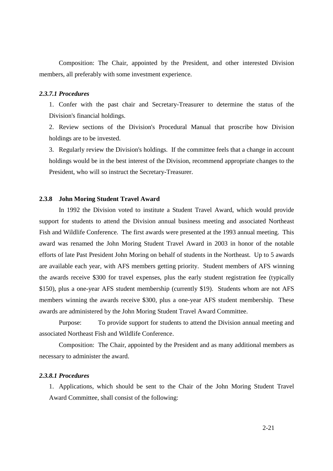Composition: The Chair, appointed by the President, and other interested Division members, all preferably with some investment experience.

## *2.3.7.1 Procedures*

1. Confer with the past chair and Secretary-Treasurer to determine the status of the Division's financial holdings.

2. Review sections of the Division's Procedural Manual that proscribe how Division holdings are to be invested.

3. Regularly review the Division's holdings. If the committee feels that a change in account holdings would be in the best interest of the Division, recommend appropriate changes to the President, who will so instruct the Secretary-Treasurer.

## **2.3.8 John Moring Student Travel Award**

In 1992 the Division voted to institute a Student Travel Award, which would provide support for students to attend the Division annual business meeting and associated Northeast Fish and Wildlife Conference. The first awards were presented at the 1993 annual meeting. This award was renamed the John Moring Student Travel Award in 2003 in honor of the notable efforts of late Past President John Moring on behalf of students in the Northeast. Up to 5 awards are available each year, with AFS members getting priority. Student members of AFS winning the awards receive \$300 for travel expenses, plus the early student registration fee (typically \$150), plus a one-year AFS student membership (currently \$19). Students whom are not AFS members winning the awards receive \$300, plus a one-year AFS student membership. These awards are administered by the John Moring Student Travel Award Committee.

Purpose: To provide support for students to attend the Division annual meeting and associated Northeast Fish and Wildlife Conference.

Composition: The Chair, appointed by the President and as many additional members as necessary to administer the award.

#### *2.3.8.1 Procedures*

1. Applications, which should be sent to the Chair of the John Moring Student Travel Award Committee, shall consist of the following: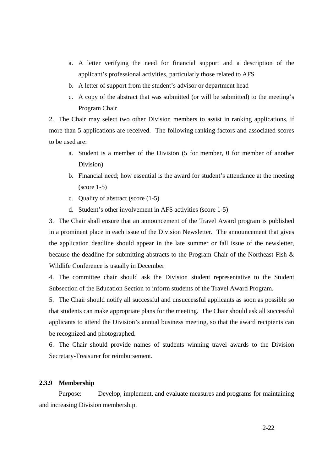- a. A letter verifying the need for financial support and a description of the applicant's professional activities, particularly those related to AFS
- b. A letter of support from the student's advisor or department head
- c. A copy of the abstract that was submitted (or will be submitted) to the meeting's Program Chair

2. The Chair may select two other Division members to assist in ranking applications, if more than 5 applications are received. The following ranking factors and associated scores to be used are:

- a. Student is a member of the Division (5 for member, 0 for member of another Division)
- b. Financial need; how essential is the award for student's attendance at the meeting  $(score 1-5)$
- c. Quality of abstract (score (1-5)
- d. Student's other involvement in AFS activities (score 1-5)

3. The Chair shall ensure that an announcement of the Travel Award program is published in a prominent place in each issue of the Division Newsletter. The announcement that gives the application deadline should appear in the late summer or fall issue of the newsletter, because the deadline for submitting abstracts to the Program Chair of the Northeast Fish & Wildlife Conference is usually in December

4. The committee chair should ask the Division student representative to the Student Subsection of the Education Section to inform students of the Travel Award Program.

5. The Chair should notify all successful and unsuccessful applicants as soon as possible so that students can make appropriate plans for the meeting. The Chair should ask all successful applicants to attend the Division's annual business meeting, so that the award recipients can be recognized and photographed.

6. The Chair should provide names of students winning travel awards to the Division Secretary-Treasurer for reimbursement.

# **2.3.9 Membership**

Purpose: Develop, implement, and evaluate measures and programs for maintaining and increasing Division membership.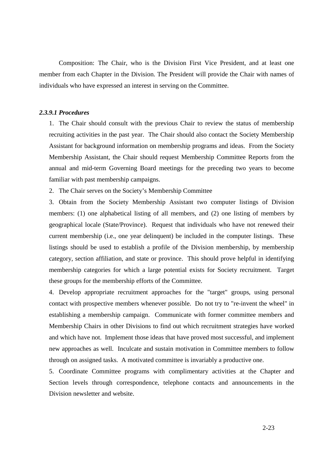Composition: The Chair, who is the Division First Vice President, and at least one member from each Chapter in the Division. The President will provide the Chair with names of individuals who have expressed an interest in serving on the Committee.

#### *2.3.9.1 Procedures*

1. The Chair should consult with the previous Chair to review the status of membership recruiting activities in the past year. The Chair should also contact the Society Membership Assistant for background information on membership programs and ideas. From the Society Membership Assistant, the Chair should request Membership Committee Reports from the annual and mid-term Governing Board meetings for the preceding two years to become familiar with past membership campaigns.

2. The Chair serves on the Society's Membership Committee

3. Obtain from the Society Membership Assistant two computer listings of Division members: (1) one alphabetical listing of all members, and (2) one listing of members by geographical locale (State/Province). Request that individuals who have not renewed their current membership (i.e., one year delinquent) be included in the computer listings. These listings should be used to establish a profile of the Division membership, by membership category, section affiliation, and state or province. This should prove helpful in identifying membership categories for which a large potential exists for Society recruitment. Target these groups for the membership efforts of the Committee.

4. Develop appropriate recruitment approaches for the "target" groups, using personal contact with prospective members whenever possible. Do not try to "re-invent the wheel" in establishing a membership campaign. Communicate with former committee members and Membership Chairs in other Divisions to find out which recruitment strategies have worked and which have not. Implement those ideas that have proved most successful, and implement new approaches as well. Inculcate and sustain motivation in Committee members to follow through on assigned tasks. A motivated committee is invariably a productive one.

5. Coordinate Committee programs with complimentary activities at the Chapter and Section levels through correspondence, telephone contacts and announcements in the Division newsletter and website.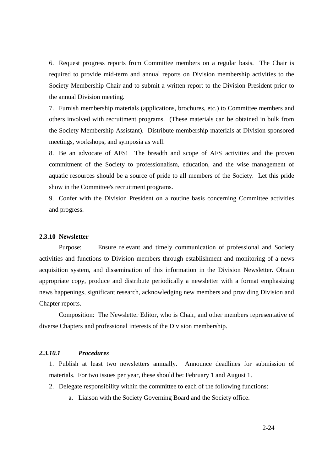6. Request progress reports from Committee members on a regular basis. The Chair is required to provide mid-term and annual reports on Division membership activities to the Society Membership Chair and to submit a written report to the Division President prior to the annual Division meeting.

7. Furnish membership materials (applications, brochures, etc.) to Committee members and others involved with recruitment programs. (These materials can be obtained in bulk from the Society Membership Assistant). Distribute membership materials at Division sponsored meetings, workshops, and symposia as well.

8. Be an advocate of AFS! The breadth and scope of AFS activities and the proven commitment of the Society to professionalism, education, and the wise management of aquatic resources should be a source of pride to all members of the Society. Let this pride show in the Committee's recruitment programs.

9. Confer with the Division President on a routine basis concerning Committee activities and progress.

## **2.3.10 Newsletter**

Purpose: Ensure relevant and timely communication of professional and Society activities and functions to Division members through establishment and monitoring of a news acquisition system, and dissemination of this information in the Division Newsletter. Obtain appropriate copy, produce and distribute periodically a newsletter with a format emphasizing news happenings, significant research, acknowledging new members and providing Division and Chapter reports.

Composition: The Newsletter Editor, who is Chair, and other members representative of diverse Chapters and professional interests of the Division membership.

# *2.3.10.1 Procedures*

1. Publish at least two newsletters annually. Announce deadlines for submission of materials. For two issues per year, these should be: February 1 and August 1.

- 2. Delegate responsibility within the committee to each of the following functions:
	- a. Liaison with the Society Governing Board and the Society office.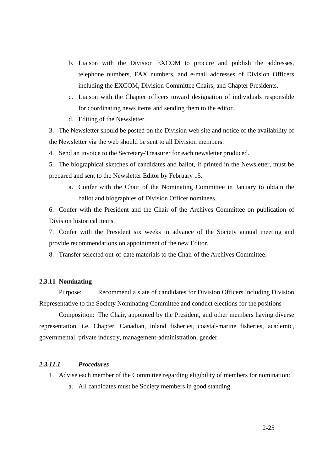- b. Liaison with the Division EXCOM to procure and publish the addresses, telephone numbers, FAX numbers, and e-mail addresses of Division Officers including the EXCOM, Division Committee Chairs, and Chapter Presidents.
- c. Liaison with the Chapter officers toward designation of individuals responsible for coordinating news items and sending them to the editor.
- d. Editing of the Newsletter.

3. The Newsletter should be posted on the Division web site and notice of the availability of the Newsletter via the web should be sent to all Division members.

4. Send an invoice to the Secretary-Treasurer for each newsletter produced.

5. The biographical sketches of candidates and ballot, if printed in the Newsletter, must be prepared and sent to the Newsletter Editor by February 15.

a. Confer with the Chair of the Nominating Committee in January to obtain the ballot and biographies of Division Officer nominees.

6. Confer with the President and the Chair of the Archives Committee on publication of Division historical items.

7. Confer with the President six weeks in advance of the Society annual meeting and provide recommendations on appointment of the new Editor.

8. Transfer selected out-of-date materials to the Chair of the Archives Committee.

### **2.3.11 Nominating**

Purpose: Recommend a slate of candidates for Division Officers including Division Representative to the Society Nominating Committee and conduct elections for the positions

Composition: The Chair, appointed by the President, and other members having diverse representation, i.e. Chapter, Canadian, inland fisheries, coastal-marine fisheries, academic, governmental, private industry, management-administration, gender.

# *2.3.11.1 Procedures*

1. Advise each member of the Committee regarding eligibility of members for nomination:

a. All candidates must be Society members in good standing.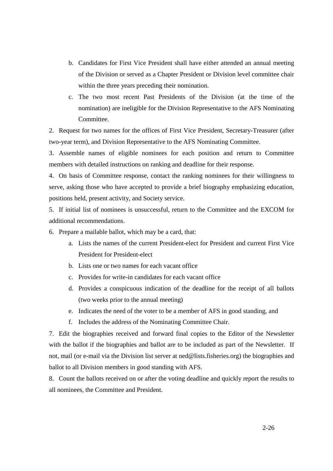- b. Candidates for First Vice President shall have either attended an annual meeting of the Division or served as a Chapter President or Division level committee chair within the three years preceding their nomination.
- c. The two most recent Past Presidents of the Division (at the time of the nomination) are ineligible for the Division Representative to the AFS Nominating Committee.

2. Request for two names for the offices of First Vice President, Secretary-Treasurer (after two-year term), and Division Representative to the AFS Nominating Committee.

3. Assemble names of eligible nominees for each position and return to Committee members with detailed instructions on ranking and deadline for their response.

4. On basis of Committee response, contact the ranking nominees for their willingness to serve, asking those who have accepted to provide a brief biography emphasizing education, positions held, present activity, and Society service.

5. If initial list of nominees is unsuccessful, return to the Committee and the EXCOM for additional recommendations.

6. Prepare a mailable ballot, which may be a card, that:

- a. Lists the names of the current President-elect for President and current First Vice President for President-elect
- b. Lists one or two names for each vacant office
- c. Provides for write-in candidates for each vacant office
- d. Provides a conspicuous indication of the deadline for the receipt of all ballots (two weeks prior to the annual meeting)
- e. Indicates the need of the voter to be a member of AFS in good standing, and
- f. Includes the address of the Nominating Committee Chair.

7. Edit the biographies received and forward final copies to the Editor of the Newsletter with the ballot if the biographies and ballot are to be included as part of the Newsletter. If not, mail (or e-mail via the Division list server at ned@lists.fisheries.org) the biographies and ballot to all Division members in good standing with AFS.

8. Count the ballots received on or after the voting deadline and quickly report the results to all nominees, the Committee and President.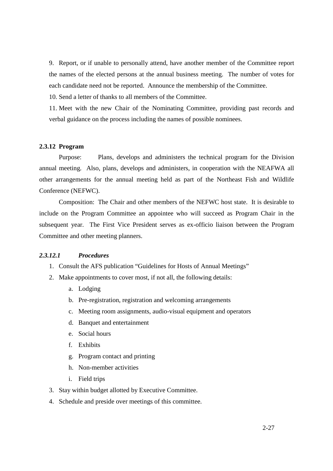9. Report, or if unable to personally attend, have another member of the Committee report the names of the elected persons at the annual business meeting. The number of votes for each candidate need not be reported. Announce the membership of the Committee.

10. Send a letter of thanks to all members of the Committee.

11. Meet with the new Chair of the Nominating Committee, providing past records and verbal guidance on the process including the names of possible nominees.

### **2.3.12 Program**

Purpose: Plans, develops and administers the technical program for the Division annual meeting. Also, plans, develops and administers, in cooperation with the NEAFWA all other arrangements for the annual meeting held as part of the Northeast Fish and Wildlife Conference (NEFWC).

Composition: The Chair and other members of the NEFWC host state. It is desirable to include on the Program Committee an appointee who will succeed as Program Chair in the subsequent year. The First Vice President serves as ex-officio liaison between the Program Committee and other meeting planners.

## *2.3.12.1 Procedures*

- 1. Consult the AFS publication "Guidelines for Hosts of Annual Meetings"
- 2. Make appointments to cover most, if not all, the following details:
	- a. Lodging
	- b. Pre-registration, registration and welcoming arrangements
	- c. Meeting room assignments, audio-visual equipment and operators
	- d. Banquet and entertainment
	- e. Social hours
	- f. Exhibits
	- g. Program contact and printing
	- h. Non-member activities
	- i. Field trips
- 3. Stay within budget allotted by Executive Committee.
- 4. Schedule and preside over meetings of this committee.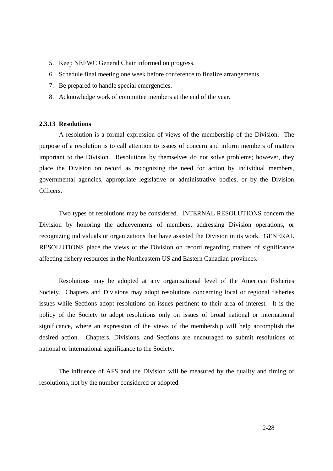- 5. Keep NEFWC General Chair informed on progress.
- 6. Schedule final meeting one week before conference to finalize arrangements.
- 7. Be prepared to handle special emergencies.
- 8. Acknowledge work of committee members at the end of the year.

#### **2.3.13 Resolutions**

A resolution is a formal expression of views of the membership of the Division. The purpose of a resolution is to call attention to issues of concern and inform members of matters important to the Division. Resolutions by themselves do not solve problems; however, they place the Division on record as recognizing the need for action by individual members, governmental agencies, appropriate legislative or administrative bodies, or by the Division Officers.

Two types of resolutions may be considered. INTERNAL RESOLUTIONS concern the Division by honoring the achievements of members, addressing Division operations, or recognizing individuals or organizations that have assisted the Division in its work. GENERAL RESOLUTIONS place the views of the Division on record regarding matters of significance affecting fishery resources in the Northeastern US and Eastern Canadian provinces.

Resolutions may be adopted at any organizational level of the American Fisheries Society. Chapters and Divisions may adopt resolutions concerning local or regional fisheries issues while Sections adopt resolutions on issues pertinent to their area of interest. It is the policy of the Society to adopt resolutions only on issues of broad national or international significance, where an expression of the views of the membership will help accomplish the desired action. Chapters, Divisions, and Sections are encouraged to submit resolutions of national or international significance to the Society.

The influence of AFS and the Division will be measured by the quality and timing of resolutions, not by the number considered or adopted.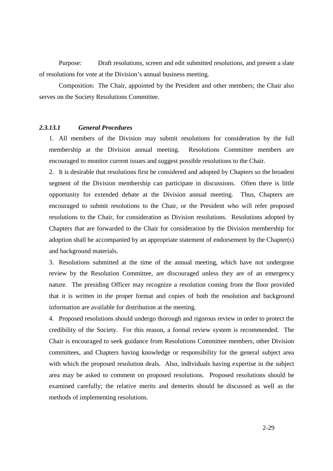Purpose: Draft resolutions, screen and edit submitted resolutions, and present a slate of resolutions for vote at the Division's annual business meeting.

Composition: The Chair, appointed by the President and other members; the Chair also serves on the Society Resolutions Committee.

#### *2.3.13.1 General Procedures*

1. All members of the Division may submit resolutions for consideration by the full membership at the Division annual meeting. Resolutions Committee members are encouraged to monitor current issues and suggest possible resolutions to the Chair.

2. It is desirable that resolutions first be considered and adopted by Chapters so the broadest segment of the Division membership can participate in discussions. Often there is little opportunity for extended debate at the Division annual meeting. Thus, Chapters are encouraged to submit resolutions to the Chair, or the President who will refer proposed resolutions to the Chair, for consideration as Division resolutions. Resolutions adopted by Chapters that are forwarded to the Chair for consideration by the Division membership for adoption shall be accompanied by an appropriate statement of endorsement by the Chapter(s) and background materials.

3. Resolutions submitted at the time of the annual meeting, which have not undergone review by the Resolution Committee, are discouraged unless they are of an emergency nature. The presiding Officer may recognize a resolution coming from the floor provided that it is written in the proper format and copies of both the resolution and background information are available for distribution at the meeting.

4. Proposed resolutions should undergo thorough and rigorous review in order to protect the credibility of the Society. For this reason, a formal review system is recommended. The Chair is encouraged to seek guidance from Resolutions Committee members, other Division committees, and Chapters having knowledge or responsibility for the general subject area with which the proposed resolution deals. Also, individuals having expertise in the subject area may be asked to comment on proposed resolutions. Proposed resolutions should be examined carefully; the relative merits and demerits should be discussed as well as the methods of implementing resolutions.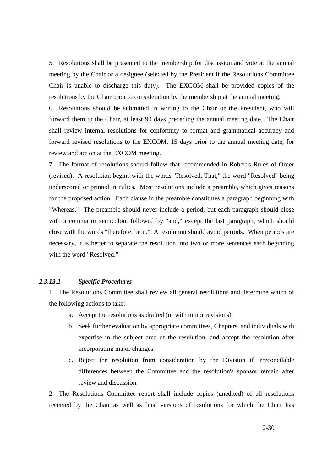5. Resolutions shall be presented to the membership for discussion and vote at the annual meeting by the Chair or a designee (selected by the President if the Resolutions Committee Chair is unable to discharge this duty). The EXCOM shall be provided copies of the resolutions by the Chair prior to consideration by the membership at the annual meeting.

6. Resolutions should be submitted in writing to the Chair or the President, who will forward them to the Chair, at least 90 days preceding the annual meeting date. The Chair shall review internal resolutions for conformity to format and grammatical accuracy and forward revised resolutions to the EXCOM, 15 days prior to the annual meeting date, for review and action at the EXCOM meeting.

7. The format of resolutions should follow that recommended in Robert's Rules of Order (revised). A resolution begins with the words "Resolved, That," the word "Resolved" being underscored or printed in italics. Most resolutions include a preamble, which gives reasons for the proposed action. Each clause in the preamble constitutes a paragraph beginning with "Whereas." The preamble should never include a period, but each paragraph should close with a comma or semicolon, followed by "and," except the last paragraph, which should close with the words "therefore, be it." A resolution should avoid periods. When periods are necessary, it is better to separate the resolution into two or more sentences each beginning with the word "Resolved."

## *2.3.13.2 Specific Procedures*

1. The Resolutions Committee shall review all general resolutions and determine which of the following actions to take:

- a. Accept the resolutions as drafted (or with minor revisions).
- b. Seek further evaluation by appropriate committees, Chapters, and individuals with expertise in the subject area of the resolution, and accept the resolution after incorporating major changes.
- c. Reject the resolution from consideration by the Division if irreconcilable differences between the Committee and the resolution's sponsor remain after review and discussion.

2. The Resolutions Committee report shall include copies (unedited) of all resolutions received by the Chair as well as final versions of resolutions for which the Chair has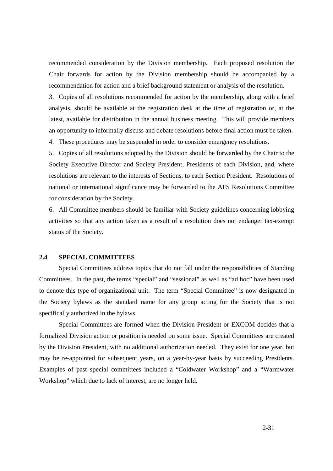recommended consideration by the Division membership. Each proposed resolution the Chair forwards for action by the Division membership should be accompanied by a recommendation for action and a brief background statement or analysis of the resolution.

3. Copies of all resolutions recommended for action by the membership, along with a brief analysis, should be available at the registration desk at the time of registration or, at the latest, available for distribution in the annual business meeting. This will provide members an opportunity to informally discuss and debate resolutions before final action must be taken.

4. These procedures may be suspended in order to consider emergency resolutions.

5. Copies of all resolutions adopted by the Division should be forwarded by the Chair to the Society Executive Director and Society President, Presidents of each Division, and, where resolutions are relevant to the interests of Sections, to each Section President. Resolutions of national or international significance may be forwarded to the AFS Resolutions Committee for consideration by the Society.

6. All Committee members should be familiar with Society guidelines concerning lobbying activities so that any action taken as a result of a resolution does not endanger tax-exempt status of the Society.

#### **2.4 SPECIAL COMMITTEES**

Special Committees address topics that do not fall under the responsibilities of Standing Committees. In the past, the terms "special" and "sessional" as well as "ad hoc" have been used to denote this type of organizational unit. The term "Special Committee" is now designated in the Society bylaws as the standard name for any group acting for the Society that is not specifically authorized in the bylaws.

Special Committees are formed when the Division President or EXCOM decides that a formalized Division action or position is needed on some issue. Special Committees are created by the Division President, with no additional authorization needed. They exist for one year, but may be re-appointed for subsequent years, on a year-by-year basis by succeeding Presidents. Examples of past special committees included a "Coldwater Workshop" and a "Warmwater Workshop" which due to lack of interest, are no longer held.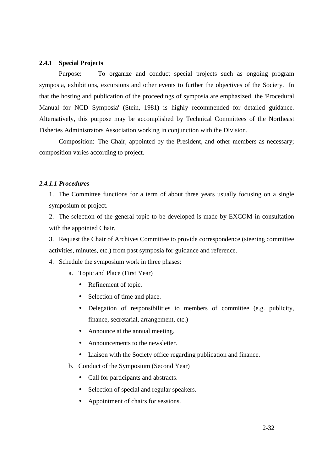### **2.4.1 Special Projects**

Purpose: To organize and conduct special projects such as ongoing program symposia, exhibitions, excursions and other events to further the objectives of the Society. In that the hosting and publication of the proceedings of symposia are emphasized, the 'Procedural Manual for NCD Symposia' (Stein, 1981) is highly recommended for detailed guidance. Alternatively, this purpose may be accomplished by Technical Committees of the Northeast Fisheries Administrators Association working in conjunction with the Division.

Composition: The Chair, appointed by the President, and other members as necessary; composition varies according to project.

#### *2.4.1.1 Procedures*

1. The Committee functions for a term of about three years usually focusing on a single symposium or project.

2. The selection of the general topic to be developed is made by EXCOM in consultation with the appointed Chair.

3. Request the Chair of Archives Committee to provide correspondence (steering committee activities, minutes, etc.) from past symposia for guidance and reference.

4. Schedule the symposium work in three phases:

- a. Topic and Place (First Year)
	- Refinement of topic.
	- Selection of time and place.
	- Delegation of responsibilities to members of committee (e.g. publicity, finance, secretarial, arrangement, etc.)
	- Announce at the annual meeting.
	- Announcements to the newsletter.
	- Liaison with the Society office regarding publication and finance.
- b. Conduct of the Symposium (Second Year)
	- Call for participants and abstracts.
	- Selection of special and regular speakers.
	- Appointment of chairs for sessions.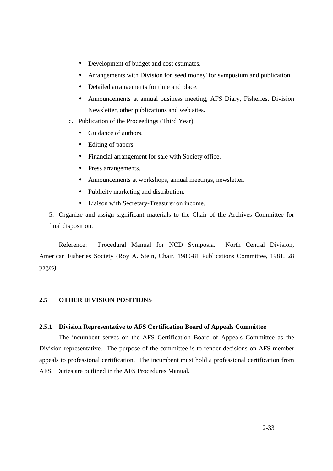- Development of budget and cost estimates.
- Arrangements with Division for 'seed money' for symposium and publication.
- Detailed arrangements for time and place.
- Announcements at annual business meeting, AFS Diary, Fisheries, Division Newsletter, other publications and web sites.
- c. Publication of the Proceedings (Third Year)
	- Guidance of authors.
	- Editing of papers.
	- Financial arrangement for sale with Society office.
	- Press arrangements.
	- Announcements at workshops, annual meetings, newsletter.
	- Publicity marketing and distribution.
	- Liaison with Secretary-Treasurer on income.

5. Organize and assign significant materials to the Chair of the Archives Committee for final disposition.

Reference: Procedural Manual for NCD Symposia. North Central Division, American Fisheries Society (Roy A. Stein, Chair, 1980-81 Publications Committee, 1981, 28 pages).

## **2.5 OTHER DIVISION POSITIONS**

#### **2.5.1 Division Representative to AFS Certification Board of Appeals Committee**

The incumbent serves on the AFS Certification Board of Appeals Committee as the Division representative. The purpose of the committee is to render decisions on AFS member appeals to professional certification. The incumbent must hold a professional certification from AFS. Duties are outlined in the AFS Procedures Manual.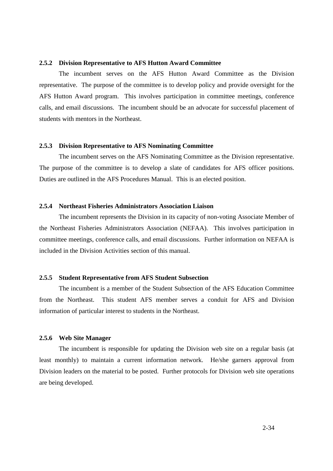## **2.5.2 Division Representative to AFS Hutton Award Committee**

The incumbent serves on the AFS Hutton Award Committee as the Division representative. The purpose of the committee is to develop policy and provide oversight for the AFS Hutton Award program. This involves participation in committee meetings, conference calls, and email discussions. The incumbent should be an advocate for successful placement of students with mentors in the Northeast.

#### **2.5.3 Division Representative to AFS Nominating Committee**

The incumbent serves on the AFS Nominating Committee as the Division representative. The purpose of the committee is to develop a slate of candidates for AFS officer positions. Duties are outlined in the AFS Procedures Manual. This is an elected position.

## **2.5.4 Northeast Fisheries Administrators Association Liaison**

The incumbent represents the Division in its capacity of non-voting Associate Member of the Northeast Fisheries Administrators Association (NEFAA). This involves participation in committee meetings, conference calls, and email discussions. Further information on NEFAA is included in the Division Activities section of this manual.

#### **2.5.5 Student Representative from AFS Student Subsection**

The incumbent is a member of the Student Subsection of the AFS Education Committee from the Northeast. This student AFS member serves a conduit for AFS and Division information of particular interest to students in the Northeast.

#### **2.5.6 Web Site Manager**

The incumbent is responsible for updating the Division web site on a regular basis (at least monthly) to maintain a current information network. He/she garners approval from Division leaders on the material to be posted. Further protocols for Division web site operations are being developed.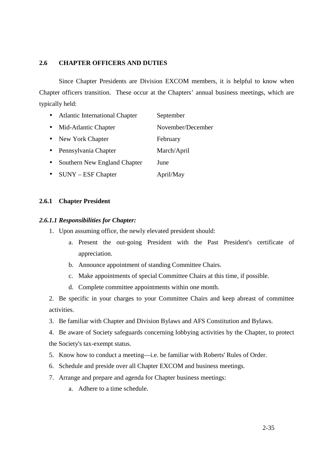## **2.6 CHAPTER OFFICERS AND DUTIES**

Since Chapter Presidents are Division EXCOM members, it is helpful to know when Chapter officers transition. These occur at the Chapters' annual business meetings, which are typically held:

- Atlantic International Chapter September
- Mid-Atlantic Chapter November/December
- New York Chapter February
- Pennsylvania Chapter March/April
- Southern New England Chapter June
- SUNY ESF Chapter April/May

# **2.6.1 Chapter President**

## *2.6.1.1 Responsibilities for Chapter:*

- 1. Upon assuming office, the newly elevated president should:
	- a. Present the out-going President with the Past President's certificate of appreciation.
	- b. Announce appointment of standing Committee Chairs.
	- c. Make appointments of special Committee Chairs at this time, if possible.
	- d. Complete committee appointments within one month.

2. Be specific in your charges to your Committee Chairs and keep abreast of committee activities.

3. Be familiar with Chapter and Division Bylaws and AFS Constitution and Bylaws.

4. Be aware of Society safeguards concerning lobbying activities by the Chapter, to protect the Society's tax-exempt status.

- 5. Know how to conduct a meeting—i.e. be familiar with Roberts' Rules of Order.
- 6. Schedule and preside over all Chapter EXCOM and business meetings.
- 7. Arrange and prepare and agenda for Chapter business meetings:
	- a. Adhere to a time schedule.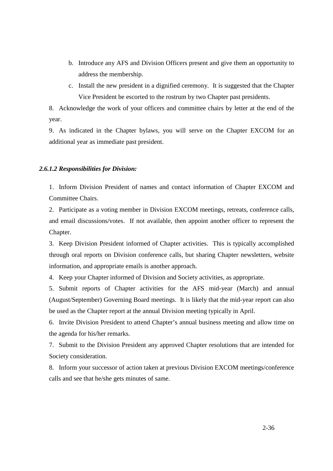- b. Introduce any AFS and Division Officers present and give them an opportunity to address the membership.
- c. Install the new president in a dignified ceremony. It is suggested that the Chapter Vice President be escorted to the rostrum by two Chapter past presidents.

8. Acknowledge the work of your officers and committee chairs by letter at the end of the year.

9. As indicated in the Chapter bylaws, you will serve on the Chapter EXCOM for an additional year as immediate past president.

## *2.6.1.2 Responsibilities for Division:*

1. Inform Division President of names and contact information of Chapter EXCOM and Committee Chairs.

2. Participate as a voting member in Division EXCOM meetings, retreats, conference calls, and email discussions/votes. If not available, then appoint another officer to represent the Chapter.

3. Keep Division President informed of Chapter activities. This is typically accomplished through oral reports on Division conference calls, but sharing Chapter newsletters, website information, and appropriate emails is another approach.

4. Keep your Chapter informed of Division and Society activities, as appropriate.

5. Submit reports of Chapter activities for the AFS mid-year (March) and annual (August/September) Governing Board meetings. It is likely that the mid-year report can also be used as the Chapter report at the annual Division meeting typically in April.

6. Invite Division President to attend Chapter's annual business meeting and allow time on the agenda for his/her remarks.

7. Submit to the Division President any approved Chapter resolutions that are intended for Society consideration.

8. Inform your successor of action taken at previous Division EXCOM meetings/conference calls and see that he/she gets minutes of same.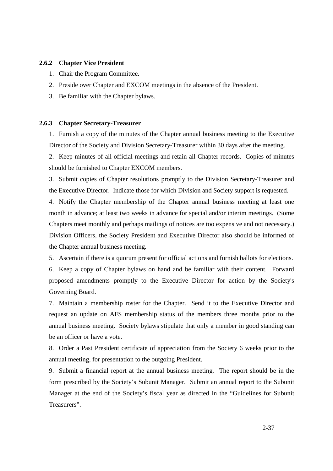## **2.6.2 Chapter Vice President**

- 1. Chair the Program Committee.
- 2. Preside over Chapter and EXCOM meetings in the absence of the President.
- 3. Be familiar with the Chapter bylaws.

### **2.6.3 Chapter Secretary-Treasurer**

1. Furnish a copy of the minutes of the Chapter annual business meeting to the Executive Director of the Society and Division Secretary-Treasurer within 30 days after the meeting.

2. Keep minutes of all official meetings and retain all Chapter records. Copies of minutes should be furnished to Chapter EXCOM members.

3. Submit copies of Chapter resolutions promptly to the Division Secretary-Treasurer and the Executive Director. Indicate those for which Division and Society support is requested.

4. Notify the Chapter membership of the Chapter annual business meeting at least one month in advance; at least two weeks in advance for special and/or interim meetings. (Some Chapters meet monthly and perhaps mailings of notices are too expensive and not necessary.) Division Officers, the Society President and Executive Director also should be informed of the Chapter annual business meeting.

5. Ascertain if there is a quorum present for official actions and furnish ballots for elections.

6. Keep a copy of Chapter bylaws on hand and be familiar with their content. Forward proposed amendments promptly to the Executive Director for action by the Society's Governing Board.

7. Maintain a membership roster for the Chapter. Send it to the Executive Director and request an update on AFS membership status of the members three months prior to the annual business meeting. Society bylaws stipulate that only a member in good standing can be an officer or have a vote.

8. Order a Past President certificate of appreciation from the Society 6 weeks prior to the annual meeting, for presentation to the outgoing President.

9. Submit a financial report at the annual business meeting. The report should be in the form prescribed by the Society's Subunit Manager. Submit an annual report to the Subunit Manager at the end of the Society's fiscal year as directed in the "Guidelines for Subunit Treasurers".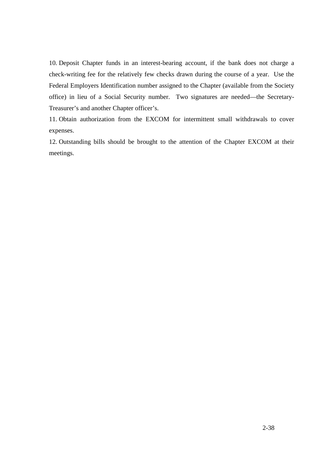10. Deposit Chapter funds in an interest-bearing account, if the bank does not charge a check-writing fee for the relatively few checks drawn during the course of a year. Use the Federal Employers Identification number assigned to the Chapter (available from the Society office) in lieu of a Social Security number. Two signatures are needed—the Secretary-Treasurer's and another Chapter officer's.

11. Obtain authorization from the EXCOM for intermittent small withdrawals to cover expenses.

12. Outstanding bills should be brought to the attention of the Chapter EXCOM at their meetings.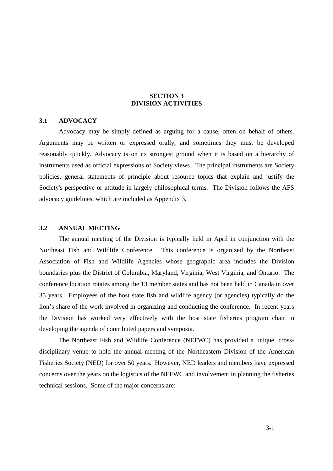## **SECTION 3 DIVISION ACTIVITIES**

## **3.1 ADVOCACY**

Advocacy may be simply defined as arguing for a cause, often on behalf of others. Arguments may be written or expressed orally, and sometimes they must be developed reasonably quickly. Advocacy is on its strongest ground when it is based on a hierarchy of instruments used as official expressions of Society views. The principal instruments are Society policies, general statements of principle about resource topics that explain and justify the Society's perspective or attitude in largely philosophical terms. The Division follows the AFS advocacy guidelines, which are included as Appendix 3.

### **3.2 ANNUAL MEETING**

The annual meeting of the Division is typically held in April in conjunction with the Northeast Fish and Wildlife Conference. This conference is organized by the Northeast Association of Fish and Wildlife Agencies whose geographic area includes the Division boundaries plus the District of Columbia, Maryland, Virginia, West Virginia, and Ontario. The conference location rotates among the 13 member states and has not been held in Canada in over 35 years. Employees of the host state fish and wildlife agency (or agencies) typically do the lion's share of the work involved in organizing and conducting the conference. In recent years the Division has worked very effectively with the host state fisheries program chair in developing the agenda of contributed papers and symposia.

The Northeast Fish and Wildlife Conference (NEFWC) has provided a unique, crossdisciplinary venue to hold the annual meeting of the Northeastern Division of the American Fisheries Society (NED) for over 50 years. However, NED leaders and members have expressed concerns over the years on the logistics of the NEFWC and involvement in planning the fisheries technical sessions. Some of the major concerns are: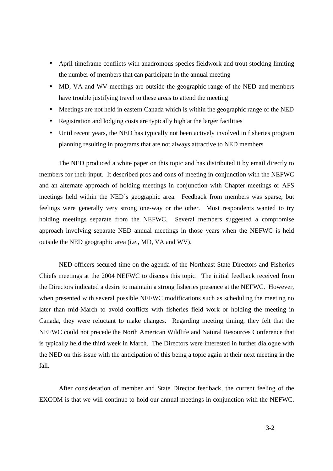- April timeframe conflicts with anadromous species fieldwork and trout stocking limiting the number of members that can participate in the annual meeting
- MD, VA and WV meetings are outside the geographic range of the NED and members have trouble justifying travel to these areas to attend the meeting
- Meetings are not held in eastern Canada which is within the geographic range of the NED
- Registration and lodging costs are typically high at the larger facilities
- Until recent years, the NED has typically not been actively involved in fisheries program planning resulting in programs that are not always attractive to NED members

The NED produced a white paper on this topic and has distributed it by email directly to members for their input. It described pros and cons of meeting in conjunction with the NEFWC and an alternate approach of holding meetings in conjunction with Chapter meetings or AFS meetings held within the NED's geographic area. Feedback from members was sparse, but feelings were generally very strong one-way or the other. Most respondents wanted to try holding meetings separate from the NEFWC. Several members suggested a compromise approach involving separate NED annual meetings in those years when the NEFWC is held outside the NED geographic area (i.e., MD, VA and WV).

NED officers secured time on the agenda of the Northeast State Directors and Fisheries Chiefs meetings at the 2004 NEFWC to discuss this topic. The initial feedback received from the Directors indicated a desire to maintain a strong fisheries presence at the NEFWC. However, when presented with several possible NEFWC modifications such as scheduling the meeting no later than mid-March to avoid conflicts with fisheries field work or holding the meeting in Canada, they were reluctant to make changes. Regarding meeting timing, they felt that the NEFWC could not precede the North American Wildlife and Natural Resources Conference that is typically held the third week in March. The Directors were interested in further dialogue with the NED on this issue with the anticipation of this being a topic again at their next meeting in the fall.

After consideration of member and State Director feedback, the current feeling of the EXCOM is that we will continue to hold our annual meetings in conjunction with the NEFWC.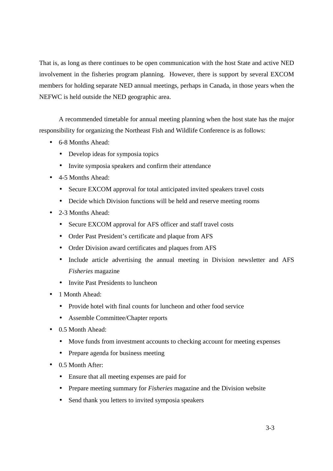That is, as long as there continues to be open communication with the host State and active NED involvement in the fisheries program planning. However, there is support by several EXCOM members for holding separate NED annual meetings, perhaps in Canada, in those years when the NEFWC is held outside the NED geographic area.

A recommended timetable for annual meeting planning when the host state has the major responsibility for organizing the Northeast Fish and Wildlife Conference is as follows:

- 6-8 Months Ahead:
	- Develop ideas for symposia topics
	- Invite symposia speakers and confirm their attendance
- 4-5 Months Ahead:
	- Secure EXCOM approval for total anticipated invited speakers travel costs
	- Decide which Division functions will be held and reserve meeting rooms
- 2-3 Months Ahead:
	- Secure EXCOM approval for AFS officer and staff travel costs
	- Order Past President's certificate and plaque from AFS
	- Order Division award certificates and plaques from AFS
	- Include article advertising the annual meeting in Division newsletter and AFS *Fisheries* magazine
	- Invite Past Presidents to luncheon
- 1 Month Ahead:
	- Provide hotel with final counts for luncheon and other food service
	- Assemble Committee/Chapter reports
- 0.5 Month Ahead:
	- Move funds from investment accounts to checking account for meeting expenses
	- Prepare agenda for business meeting
- 0.5 Month After:
	- Ensure that all meeting expenses are paid for
	- Prepare meeting summary for *Fisheries* magazine and the Division website
	- Send thank you letters to invited symposia speakers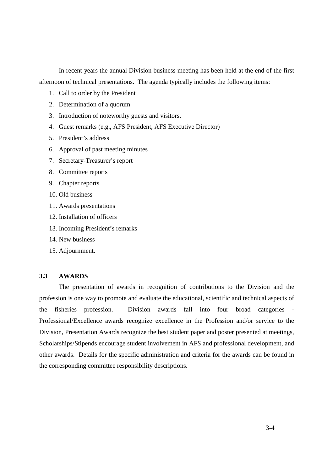In recent years the annual Division business meeting has been held at the end of the first afternoon of technical presentations. The agenda typically includes the following items:

- 1. Call to order by the President
- 2. Determination of a quorum
- 3. Introduction of noteworthy guests and visitors.
- 4. Guest remarks (e.g., AFS President, AFS Executive Director)
- 5. President's address
- 6. Approval of past meeting minutes
- 7. Secretary-Treasurer's report
- 8. Committee reports
- 9. Chapter reports
- 10. Old business
- 11. Awards presentations
- 12. Installation of officers
- 13. Incoming President's remarks
- 14. New business
- 15. Adjournment.

## **3.3 AWARDS**

The presentation of awards in recognition of contributions to the Division and the profession is one way to promote and evaluate the educational, scientific and technical aspects of the fisheries profession. Division awards fall into four broad categories - Professional/Excellence awards recognize excellence in the Profession and/or service to the Division, Presentation Awards recognize the best student paper and poster presented at meetings, Scholarships/Stipends encourage student involvement in AFS and professional development, and other awards. Details for the specific administration and criteria for the awards can be found in the corresponding committee responsibility descriptions.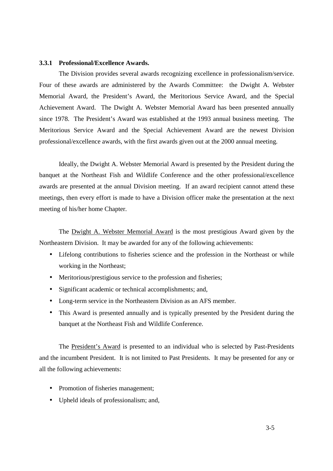#### **3.3.1 Professional/Excellence Awards.**

The Division provides several awards recognizing excellence in professionalism/service. Four of these awards are administered by the Awards Committee: the Dwight A. Webster Memorial Award, the President's Award, the Meritorious Service Award, and the Special Achievement Award. The Dwight A. Webster Memorial Award has been presented annually since 1978. The President's Award was established at the 1993 annual business meeting. The Meritorious Service Award and the Special Achievement Award are the newest Division professional/excellence awards, with the first awards given out at the 2000 annual meeting.

Ideally, the Dwight A. Webster Memorial Award is presented by the President during the banquet at the Northeast Fish and Wildlife Conference and the other professional/excellence awards are presented at the annual Division meeting. If an award recipient cannot attend these meetings, then every effort is made to have a Division officer make the presentation at the next meeting of his/her home Chapter.

The Dwight A. Webster Memorial Award is the most prestigious Award given by the Northeastern Division. It may be awarded for any of the following achievements:

- Lifelong contributions to fisheries science and the profession in the Northeast or while working in the Northeast;
- Meritorious/prestigious service to the profession and fisheries;
- Significant academic or technical accomplishments; and,
- Long-term service in the Northeastern Division as an AFS member.
- This Award is presented annually and is typically presented by the President during the banquet at the Northeast Fish and Wildlife Conference.

The President's Award is presented to an individual who is selected by Past-Presidents and the incumbent President. It is not limited to Past Presidents. It may be presented for any or all the following achievements:

- Promotion of fisheries management;
- Upheld ideals of professionalism; and,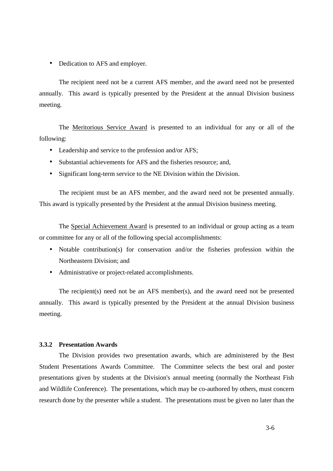• Dedication to AFS and employer.

The recipient need not be a current AFS member, and the award need not be presented annually. This award is typically presented by the President at the annual Division business meeting.

The Meritorious Service Award is presented to an individual for any or all of the following:

- Leadership and service to the profession and/or AFS;
- Substantial achievements for AFS and the fisheries resource; and,
- Significant long-term service to the NE Division within the Division.

The recipient must be an AFS member, and the award need not be presented annually. This award is typically presented by the President at the annual Division business meeting.

The Special Achievement Award is presented to an individual or group acting as a team or committee for any or all of the following special accomplishments:

- Notable contribution(s) for conservation and/or the fisheries profession within the Northeastern Division; and
- Administrative or project-related accomplishments.

The recipient(s) need not be an AFS member(s), and the award need not be presented annually. This award is typically presented by the President at the annual Division business meeting.

## **3.3.2 Presentation Awards**

The Division provides two presentation awards, which are administered by the Best Student Presentations Awards Committee. The Committee selects the best oral and poster presentations given by students at the Division's annual meeting (normally the Northeast Fish and Wildlife Conference). The presentations, which may be co-authored by others, must concern research done by the presenter while a student. The presentations must be given no later than the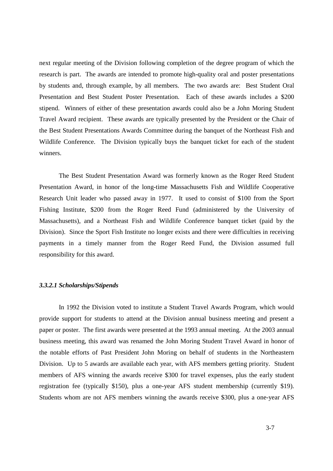next regular meeting of the Division following completion of the degree program of which the research is part. The awards are intended to promote high-quality oral and poster presentations by students and, through example, by all members. The two awards are: Best Student Oral Presentation and Best Student Poster Presentation. Each of these awards includes a \$200 stipend. Winners of either of these presentation awards could also be a John Moring Student Travel Award recipient. These awards are typically presented by the President or the Chair of the Best Student Presentations Awards Committee during the banquet of the Northeast Fish and Wildlife Conference. The Division typically buys the banquet ticket for each of the student winners.

The Best Student Presentation Award was formerly known as the Roger Reed Student Presentation Award, in honor of the long-time Massachusetts Fish and Wildlife Cooperative Research Unit leader who passed away in 1977. It used to consist of \$100 from the Sport Fishing Institute, \$200 from the Roger Reed Fund (administered by the University of Massachusetts), and a Northeast Fish and Wildlife Conference banquet ticket (paid by the Division). Since the Sport Fish Institute no longer exists and there were difficulties in receiving payments in a timely manner from the Roger Reed Fund, the Division assumed full responsibility for this award.

## *3.3.2.1 Scholarships/Stipends*

In 1992 the Division voted to institute a Student Travel Awards Program, which would provide support for students to attend at the Division annual business meeting and present a paper or poster. The first awards were presented at the 1993 annual meeting. At the 2003 annual business meeting, this award was renamed the John Moring Student Travel Award in honor of the notable efforts of Past President John Moring on behalf of students in the Northeastern Division. Up to 5 awards are available each year, with AFS members getting priority. Student members of AFS winning the awards receive \$300 for travel expenses, plus the early student registration fee (typically \$150), plus a one-year AFS student membership (currently \$19). Students whom are not AFS members winning the awards receive \$300, plus a one-year AFS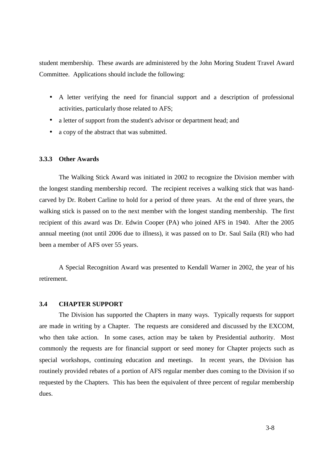student membership. These awards are administered by the John Moring Student Travel Award Committee. Applications should include the following:

- A letter verifying the need for financial support and a description of professional activities, particularly those related to AFS;
- a letter of support from the student's advisor or department head; and
- a copy of the abstract that was submitted.

#### **3.3.3 Other Awards**

The Walking Stick Award was initiated in 2002 to recognize the Division member with the longest standing membership record. The recipient receives a walking stick that was handcarved by Dr. Robert Carline to hold for a period of three years. At the end of three years, the walking stick is passed on to the next member with the longest standing membership. The first recipient of this award was Dr. Edwin Cooper (PA) who joined AFS in 1940. After the 2005 annual meeting (not until 2006 due to illness), it was passed on to Dr. Saul Saila (RI) who had been a member of AFS over 55 years.

A Special Recognition Award was presented to Kendall Warner in 2002, the year of his retirement.

## **3.4 CHAPTER SUPPORT**

The Division has supported the Chapters in many ways. Typically requests for support are made in writing by a Chapter. The requests are considered and discussed by the EXCOM, who then take action. In some cases, action may be taken by Presidential authority. Most commonly the requests are for financial support or seed money for Chapter projects such as special workshops, continuing education and meetings. In recent years, the Division has routinely provided rebates of a portion of AFS regular member dues coming to the Division if so requested by the Chapters. This has been the equivalent of three percent of regular membership dues.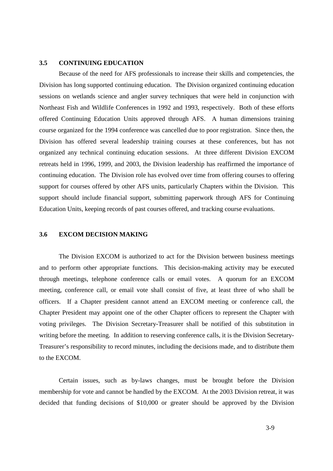## **3.5 CONTINUING EDUCATION**

Because of the need for AFS professionals to increase their skills and competencies, the Division has long supported continuing education. The Division organized continuing education sessions on wetlands science and angler survey techniques that were held in conjunction with Northeast Fish and Wildlife Conferences in 1992 and 1993, respectively. Both of these efforts offered Continuing Education Units approved through AFS. A human dimensions training course organized for the 1994 conference was cancelled due to poor registration. Since then, the Division has offered several leadership training courses at these conferences, but has not organized any technical continuing education sessions. At three different Division EXCOM retreats held in 1996, 1999, and 2003, the Division leadership has reaffirmed the importance of continuing education. The Division role has evolved over time from offering courses to offering support for courses offered by other AFS units, particularly Chapters within the Division. This support should include financial support, submitting paperwork through AFS for Continuing Education Units, keeping records of past courses offered, and tracking course evaluations.

#### **3.6 EXCOM DECISION MAKING**

The Division EXCOM is authorized to act for the Division between business meetings and to perform other appropriate functions. This decision-making activity may be executed through meetings, telephone conference calls or email votes. A quorum for an EXCOM meeting, conference call, or email vote shall consist of five, at least three of who shall be officers. If a Chapter president cannot attend an EXCOM meeting or conference call, the Chapter President may appoint one of the other Chapter officers to represent the Chapter with voting privileges. The Division Secretary-Treasurer shall be notified of this substitution in writing before the meeting. In addition to reserving conference calls, it is the Division Secretary-Treasurer's responsibility to record minutes, including the decisions made, and to distribute them to the EXCOM.

Certain issues, such as by-laws changes, must be brought before the Division membership for vote and cannot be handled by the EXCOM. At the 2003 Division retreat, it was decided that funding decisions of \$10,000 or greater should be approved by the Division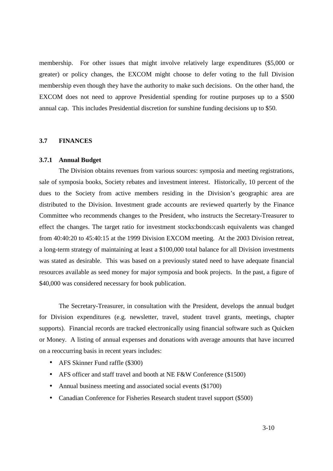membership. For other issues that might involve relatively large expenditures (\$5,000 or greater) or policy changes, the EXCOM might choose to defer voting to the full Division membership even though they have the authority to make such decisions. On the other hand, the EXCOM does not need to approve Presidential spending for routine purposes up to a \$500 annual cap. This includes Presidential discretion for sunshine funding decisions up to \$50.

## **3.7 FINANCES**

#### **3.7.1 Annual Budget**

The Division obtains revenues from various sources: symposia and meeting registrations, sale of symposia books, Society rebates and investment interest. Historically, 10 percent of the dues to the Society from active members residing in the Division's geographic area are distributed to the Division. Investment grade accounts are reviewed quarterly by the Finance Committee who recommends changes to the President, who instructs the Secretary-Treasurer to effect the changes. The target ratio for investment stocks:bonds:cash equivalents was changed from 40:40:20 to 45:40:15 at the 1999 Division EXCOM meeting. At the 2003 Division retreat, a long-term strategy of maintaining at least a \$100,000 total balance for all Division investments was stated as desirable. This was based on a previously stated need to have adequate financial resources available as seed money for major symposia and book projects. In the past, a figure of \$40,000 was considered necessary for book publication.

The Secretary-Treasurer, in consultation with the President, develops the annual budget for Division expenditures (e.g. newsletter, travel, student travel grants, meetings, chapter supports). Financial records are tracked electronically using financial software such as Quicken or Money. A listing of annual expenses and donations with average amounts that have incurred on a reoccurring basis in recent years includes:

- AFS Skinner Fund raffle (\$300)
- AFS officer and staff travel and booth at NE F&W Conference (\$1500)
- Annual business meeting and associated social events (\$1700)
- Canadian Conference for Fisheries Research student travel support (\$500)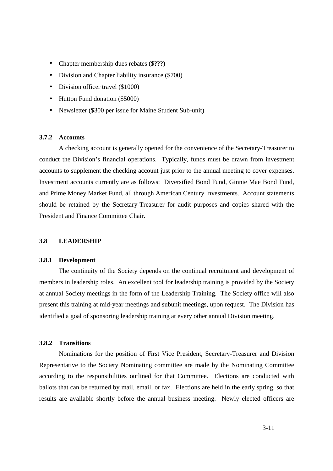- Chapter membership dues rebates (\$???)
- Division and Chapter liability insurance (\$700)
- Division officer travel (\$1000)
- Hutton Fund donation (\$5000)
- Newsletter (\$300 per issue for Maine Student Sub-unit)

## **3.7.2 Accounts**

A checking account is generally opened for the convenience of the Secretary-Treasurer to conduct the Division's financial operations. Typically, funds must be drawn from investment accounts to supplement the checking account just prior to the annual meeting to cover expenses. Investment accounts currently are as follows: Diversified Bond Fund, Ginnie Mae Bond Fund, and Prime Money Market Fund, all through American Century Investments. Account statements should be retained by the Secretary-Treasurer for audit purposes and copies shared with the President and Finance Committee Chair.

## **3.8 LEADERSHIP**

#### **3.8.1 Development**

The continuity of the Society depends on the continual recruitment and development of members in leadership roles. An excellent tool for leadership training is provided by the Society at annual Society meetings in the form of the Leadership Training. The Society office will also present this training at mid-year meetings and subunit meetings, upon request. The Division has identified a goal of sponsoring leadership training at every other annual Division meeting.

## **3.8.2 Transitions**

Nominations for the position of First Vice President, Secretary-Treasurer and Division Representative to the Society Nominating committee are made by the Nominating Committee according to the responsibilities outlined for that Committee. Elections are conducted with ballots that can be returned by mail, email, or fax. Elections are held in the early spring, so that results are available shortly before the annual business meeting. Newly elected officers are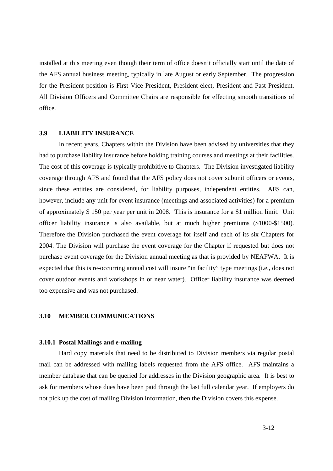installed at this meeting even though their term of office doesn't officially start until the date of the AFS annual business meeting, typically in late August or early September. The progression for the President position is First Vice President, President-elect, President and Past President. All Division Officers and Committee Chairs are responsible for effecting smooth transitions of office.

## **3.9 LIABILITY INSURANCE**

In recent years, Chapters within the Division have been advised by universities that they had to purchase liability insurance before holding training courses and meetings at their facilities. The cost of this coverage is typically prohibitive to Chapters. The Division investigated liability coverage through AFS and found that the AFS policy does not cover subunit officers or events, since these entities are considered, for liability purposes, independent entities. AFS can, however, include any unit for event insurance (meetings and associated activities) for a premium of approximately \$ 150 per year per unit in 2008. This is insurance for a \$1 million limit. Unit officer liability insurance is also available, but at much higher premiums (\$1000-\$1500). Therefore the Division purchased the event coverage for itself and each of its six Chapters for 2004. The Division will purchase the event coverage for the Chapter if requested but does not purchase event coverage for the Division annual meeting as that is provided by NEAFWA. It is expected that this is re-occurring annual cost will insure "in facility" type meetings (i.e., does not cover outdoor events and workshops in or near water). Officer liability insurance was deemed too expensive and was not purchased.

## **3.10 MEMBER COMMUNICATIONS**

#### **3.10.1 Postal Mailings and e-mailing**

Hard copy materials that need to be distributed to Division members via regular postal mail can be addressed with mailing labels requested from the AFS office. AFS maintains a member database that can be queried for addresses in the Division geographic area. It is best to ask for members whose dues have been paid through the last full calendar year. If employers do not pick up the cost of mailing Division information, then the Division covers this expense.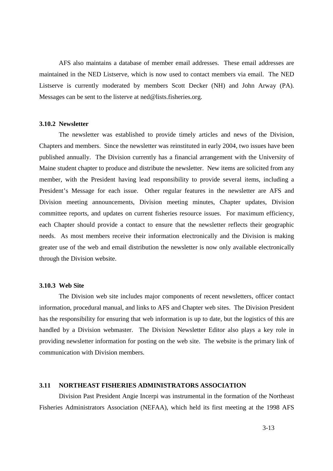AFS also maintains a database of member email addresses. These email addresses are maintained in the NED Listserve, which is now used to contact members via email. The NED Listserve is currently moderated by members Scott Decker (NH) and John Arway (PA). Messages can be sent to the listerve at ned@lists.fisheries.org.

#### **3.10.2 Newsletter**

The newsletter was established to provide timely articles and news of the Division, Chapters and members. Since the newsletter was reinstituted in early 2004, two issues have been published annually. The Division currently has a financial arrangement with the University of Maine student chapter to produce and distribute the newsletter. New items are solicited from any member, with the President having lead responsibility to provide several items, including a President's Message for each issue. Other regular features in the newsletter are AFS and Division meeting announcements, Division meeting minutes, Chapter updates, Division committee reports, and updates on current fisheries resource issues. For maximum efficiency, each Chapter should provide a contact to ensure that the newsletter reflects their geographic needs. As most members receive their information electronically and the Division is making greater use of the web and email distribution the newsletter is now only available electronically through the Division website.

## **3.10.3 Web Site**

The Division web site includes major components of recent newsletters, officer contact information, procedural manual, and links to AFS and Chapter web sites. The Division President has the responsibility for ensuring that web information is up to date, but the logistics of this are handled by a Division webmaster. The Division Newsletter Editor also plays a key role in providing newsletter information for posting on the web site. The website is the primary link of communication with Division members.

## **3.11 NORTHEAST FISHERIES ADMINISTRATORS ASSOCIATION**

Division Past President Angie Incerpi was instrumental in the formation of the Northeast Fisheries Administrators Association (NEFAA), which held its first meeting at the 1998 AFS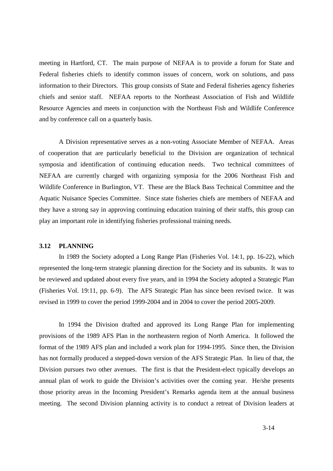meeting in Hartford, CT. The main purpose of NEFAA is to provide a forum for State and Federal fisheries chiefs to identify common issues of concern, work on solutions, and pass information to their Directors. This group consists of State and Federal fisheries agency fisheries chiefs and senior staff. NEFAA reports to the Northeast Association of Fish and Wildlife Resource Agencies and meets in conjunction with the Northeast Fish and Wildlife Conference and by conference call on a quarterly basis.

A Division representative serves as a non-voting Associate Member of NEFAA. Areas of cooperation that are particularly beneficial to the Division are organization of technical symposia and identification of continuing education needs. Two technical committees of NEFAA are currently charged with organizing symposia for the 2006 Northeast Fish and Wildlife Conference in Burlington, VT. These are the Black Bass Technical Committee and the Aquatic Nuisance Species Committee. Since state fisheries chiefs are members of NEFAA and they have a strong say in approving continuing education training of their staffs, this group can play an important role in identifying fisheries professional training needs.

### **3.12 PLANNING**

In 1989 the Society adopted a Long Range Plan (Fisheries Vol. 14:1, pp. 16-22), which represented the long-term strategic planning direction for the Society and its subunits. It was to be reviewed and updated about every five years, and in 1994 the Society adopted a Strategic Plan (Fisheries Vol. 19:11, pp. 6-9). The AFS Strategic Plan has since been revised twice. It was revised in 1999 to cover the period 1999-2004 and in 2004 to cover the period 2005-2009.

In 1994 the Division drafted and approved its Long Range Plan for implementing provisions of the 1989 AFS Plan in the northeastern region of North America. It followed the format of the 1989 AFS plan and included a work plan for 1994-1995. Since then, the Division has not formally produced a stepped-down version of the AFS Strategic Plan. In lieu of that, the Division pursues two other avenues. The first is that the President-elect typically develops an annual plan of work to guide the Division's activities over the coming year. He/she presents those priority areas in the Incoming President's Remarks agenda item at the annual business meeting. The second Division planning activity is to conduct a retreat of Division leaders at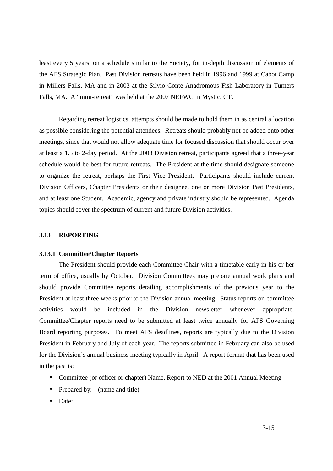least every 5 years, on a schedule similar to the Society, for in-depth discussion of elements of the AFS Strategic Plan. Past Division retreats have been held in 1996 and 1999 at Cabot Camp in Millers Falls, MA and in 2003 at the Silvio Conte Anadromous Fish Laboratory in Turners Falls, MA. A "mini-retreat" was held at the 2007 NEFWC in Mystic, CT.

Regarding retreat logistics, attempts should be made to hold them in as central a location as possible considering the potential attendees. Retreats should probably not be added onto other meetings, since that would not allow adequate time for focused discussion that should occur over at least a 1.5 to 2-day period. At the 2003 Division retreat, participants agreed that a three-year schedule would be best for future retreats. The President at the time should designate someone to organize the retreat, perhaps the First Vice President. Participants should include current Division Officers, Chapter Presidents or their designee, one or more Division Past Presidents, and at least one Student. Academic, agency and private industry should be represented. Agenda topics should cover the spectrum of current and future Division activities.

#### **3.13 REPORTING**

#### **3.13.1 Committee/Chapter Reports**

The President should provide each Committee Chair with a timetable early in his or her term of office, usually by October. Division Committees may prepare annual work plans and should provide Committee reports detailing accomplishments of the previous year to the President at least three weeks prior to the Division annual meeting. Status reports on committee activities would be included in the Division newsletter whenever appropriate. Committee/Chapter reports need to be submitted at least twice annually for AFS Governing Board reporting purposes. To meet AFS deadlines, reports are typically due to the Division President in February and July of each year. The reports submitted in February can also be used for the Division's annual business meeting typically in April. A report format that has been used in the past is:

- Committee (or officer or chapter) Name, Report to NED at the 2001 Annual Meeting
- Prepared by: (name and title)
- Date: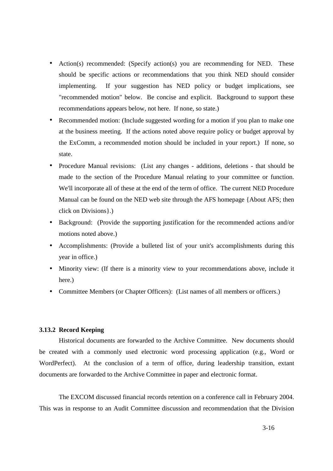- Action(s) recommended: (Specify action(s) you are recommending for NED. These should be specific actions or recommendations that you think NED should consider implementing. If your suggestion has NED policy or budget implications, see "recommended motion" below. Be concise and explicit. Background to support these recommendations appears below, not here. If none, so state.)
- Recommended motion: (Include suggested wording for a motion if you plan to make one at the business meeting. If the actions noted above require policy or budget approval by the ExComm, a recommended motion should be included in your report.) If none, so state.
- Procedure Manual revisions: (List any changes additions, deletions that should be made to the section of the Procedure Manual relating to your committee or function. We'll incorporate all of these at the end of the term of office. The current NED Procedure Manual can be found on the NED web site through the AFS homepage {About AFS; then click on Divisions}.)
- Background: (Provide the supporting justification for the recommended actions and/or motions noted above.)
- Accomplishments: (Provide a bulleted list of your unit's accomplishments during this year in office.)
- Minority view: (If there is a minority view to your recommendations above, include it here.)
- Committee Members (or Chapter Officers): (List names of all members or officers.)

## **3.13.2 Record Keeping**

Historical documents are forwarded to the Archive Committee. New documents should be created with a commonly used electronic word processing application (e.g., Word or WordPerfect). At the conclusion of a term of office, during leadership transition, extant documents are forwarded to the Archive Committee in paper and electronic format.

The EXCOM discussed financial records retention on a conference call in February 2004. This was in response to an Audit Committee discussion and recommendation that the Division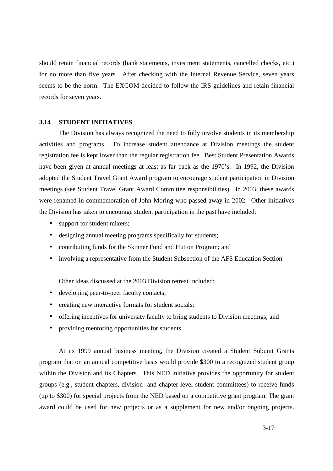should retain financial records (bank statements, investment statements, cancelled checks, etc.) for no more than five years. After checking with the Internal Revenue Service, seven years seems to be the norm. The EXCOM decided to follow the IRS guidelines and retain financial records for seven years.

#### **3.14 STUDENT INITIATIVES**

The Division has always recognized the need to fully involve students in its membership activities and programs. To increase student attendance at Division meetings the student registration fee is kept lower than the regular registration fee. Best Student Presentation Awards have been given at annual meetings at least as far back as the 1970's. In 1992, the Division adopted the Student Travel Grant Award program to encourage student participation in Division meetings (see Student Travel Grant Award Committee responsibilities). In 2003, these awards were renamed in commemoration of John Moring who passed away in 2002. Other initiatives the Division has taken to encourage student participation in the past have included:

- support for student mixers;
- designing annual meeting programs specifically for students;
- contributing funds for the Skinner Fund and Hutton Program; and
- involving a representative from the Student Subsection of the AFS Education Section.

Other ideas discussed at the 2003 Division retreat included:

- developing peer-to-peer faculty contacts;
- creating new interactive formats for student socials;
- offering incentives for university faculty to bring students to Division meetings; and
- providing mentoring opportunities for students.

At its 1999 annual business meeting, the Division created a Student Subunit Grants program that on an annual competitive basis would provide \$300 to a recognized student group within the Division and its Chapters. This NED initiative provides the opportunity for student groups (e.g., student chapters, division- and chapter-level student committees) to receive funds (up to \$300) for special projects from the NED based on a competitive grant program. The grant award could be used for new projects or as a supplement for new and/or ongoing projects.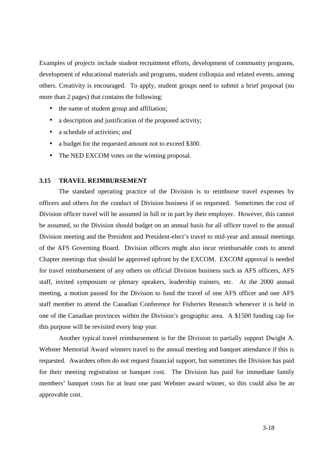Examples of projects include student recruitment efforts, development of community programs, development of educational materials and programs, student colloquia and related events, among others. Creativity is encouraged. To apply, student groups need to submit a brief proposal (no more than 2 pages) that contains the following:

- the name of student group and affiliation;
- a description and justification of the proposed activity;
- a schedule of activities; and
- a budget for the requested amount not to exceed \$300.
- The NED EXCOM votes on the winning proposal.

## **3.15 TRAVEL REIMBURSEMENT**

The standard operating practice of the Division is to reimburse travel expenses by officers and others for the conduct of Division business if so requested. Sometimes the cost of Division officer travel will be assumed in full or in part by their employer. However, this cannot be assumed, so the Division should budget on an annual basis for all officer travel to the annual Division meeting and the President and President-elect's travel to mid-year and annual meetings of the AFS Governing Board. Division officers might also incur reimbursable costs to attend Chapter meetings that should be approved upfront by the EXCOM. EXCOM approval is needed for travel reimbursement of any others on official Division business such as AFS officers, AFS staff, invited symposium or plenary speakers, leadership trainers, etc. At the 2000 annual meeting, a motion passed for the Division to fund the travel of one AFS officer and one AFS staff member to attend the Canadian Conference for Fisheries Research whenever it is held in one of the Canadian provinces within the Division's geographic area. A \$1500 funding cap for this purpose will be revisited every leap year.

Another typical travel reimbursement is for the Division to partially support Dwight A. Webster Memorial Award winners travel to the annual meeting and banquet attendance if this is requested. Awardees often do not request financial support, but sometimes the Division has paid for their meeting registration or banquet cost. The Division has paid for immediate family members' banquet costs for at least one past Webster award winner, so this could also be an approvable cost.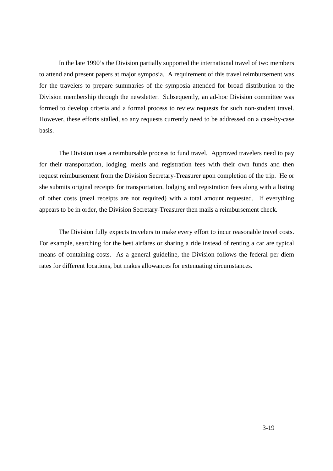In the late 1990's the Division partially supported the international travel of two members to attend and present papers at major symposia. A requirement of this travel reimbursement was for the travelers to prepare summaries of the symposia attended for broad distribution to the Division membership through the newsletter. Subsequently, an ad-hoc Division committee was formed to develop criteria and a formal process to review requests for such non-student travel. However, these efforts stalled, so any requests currently need to be addressed on a case-by-case basis.

The Division uses a reimbursable process to fund travel. Approved travelers need to pay for their transportation, lodging, meals and registration fees with their own funds and then request reimbursement from the Division Secretary-Treasurer upon completion of the trip. He or she submits original receipts for transportation, lodging and registration fees along with a listing of other costs (meal receipts are not required) with a total amount requested. If everything appears to be in order, the Division Secretary-Treasurer then mails a reimbursement check.

The Division fully expects travelers to make every effort to incur reasonable travel costs. For example, searching for the best airfares or sharing a ride instead of renting a car are typical means of containing costs. As a general guideline, the Division follows the federal per diem rates for different locations, but makes allowances for extenuating circumstances.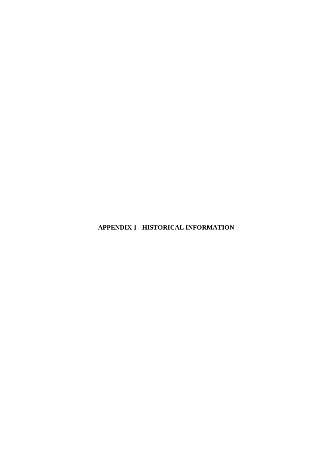**APPENDIX 1 - HISTORICAL INFORMATION**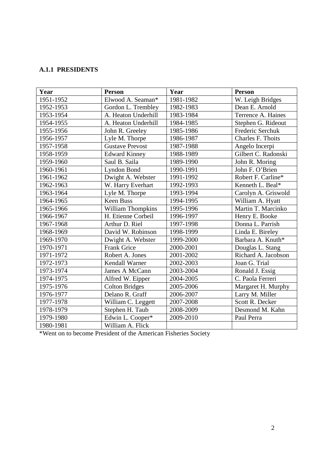# **A.1.1 PRESIDENTS**

| Year      | <b>Person</b>          | Year      | <b>Person</b>       |
|-----------|------------------------|-----------|---------------------|
| 1951-1952 | Elwood A. Seaman*      | 1981-1982 | W. Leigh Bridges    |
| 1952-1953 | Gordon L. Trembley     | 1982-1983 | Dean E. Arnold      |
| 1953-1954 | A. Heaton Underhill    | 1983-1984 | Terrence A. Haines  |
| 1954-1955 | A. Heaton Underhill    | 1984-1985 | Stephen G. Rideout  |
| 1955-1956 | John R. Greeley        | 1985-1986 | Frederic Serchuk    |
| 1956-1957 | Lyle M. Thorpe         | 1986-1987 | Charles F. Thoits   |
| 1957-1958 | <b>Gustave Prevost</b> | 1987-1988 | Angelo Incerpi      |
| 1958-1959 | <b>Edward Kinney</b>   | 1988-1989 | Gilbert C. Radonski |
| 1959-1960 | Saul B. Saila          | 1989-1990 | John R. Moring      |
| 1960-1961 | Lyndon Bond            | 1990-1991 | John F. O'Brien     |
| 1961-1962 | Dwight A. Webster      | 1991-1992 | Robert F. Carline*  |
| 1962-1963 | W. Harry Everhart      | 1992-1993 | Kenneth L. Beal*    |
| 1963-1964 | Lyle M. Thorpe         | 1993-1994 | Carolyn A. Griswold |
| 1964-1965 | <b>Keen Buss</b>       | 1994-1995 | William A. Hyatt    |
| 1965-1966 | William Thompkins      | 1995-1996 | Martin T. Marcinko  |
| 1966-1967 | H. Etienne Corbeil     | 1996-1997 | Henry E. Booke      |
| 1967-1968 | Arthur D. Riel         | 1997-1998 | Donna L. Parrish    |
| 1968-1969 | David W. Robinson      | 1998-1999 | Linda E. Bireley    |
| 1969-1970 | Dwight A. Webster      | 1999-2000 | Barbara A. Knuth*   |
| 1970-1971 | <b>Frank Grice</b>     | 2000-2001 | Douglas L. Stang    |
| 1971-1972 | Robert A. Jones        | 2001-2002 | Richard A. Jacobson |
| 1972-1973 | Kendall Warner         | 2002-2003 | Joan G. Trial       |
| 1973-1974 | James A McCann         | 2003-2004 | Ronald J. Essig     |
| 1974-1975 | Alfred W. Eipper       | 2004-2005 | C. Paola Ferreri    |
| 1975-1976 | <b>Colton Bridges</b>  | 2005-2006 | Margaret H. Murphy  |
| 1976-1977 | Delano R. Graff        | 2006-2007 | Larry M. Miller     |
| 1977-1978 | William C. Leggett     | 2007-2008 | Scott R. Decker     |
| 1978-1979 | Stephen H. Taub        | 2008-2009 | Desmond M. Kahn     |
| 1979-1980 | Edwin L. Cooper*       | 2009-2010 | Paul Perra          |
| 1980-1981 | William A. Flick       |           |                     |

\*Went on to become President of the American Fisheries Society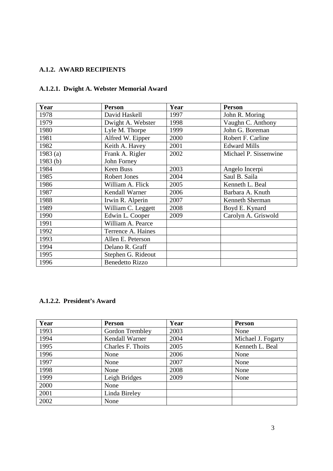# **A.1.2. AWARD RECIPIENTS**

# **A.1.2.1. Dwight A. Webster Memorial Award**

| Year       | <b>Person</b>          | Year | <b>Person</b>         |
|------------|------------------------|------|-----------------------|
| 1978       | David Haskell          | 1997 | John R. Moring        |
| 1979       | Dwight A. Webster      | 1998 | Vaughn C. Anthony     |
| 1980       | Lyle M. Thorpe         | 1999 | John G. Boreman       |
| 1981       | Alfred W. Eipper       | 2000 | Robert F. Carline     |
| 1982       | Keith A. Havey         | 2001 | <b>Edward Mills</b>   |
| 1983 $(a)$ | Frank A. Rigler        | 2002 | Michael P. Sissenwine |
| 1983 $(b)$ | John Forney            |      |                       |
| 1984       | Keen Buss              | 2003 | Angelo Incerpi        |
| 1985       | <b>Robert Jones</b>    | 2004 | Saul B. Saila         |
| 1986       | William A. Flick       | 2005 | Kenneth L. Beal       |
| 1987       | Kendall Warner         | 2006 | Barbara A. Knuth      |
| 1988       | Irwin R. Alperin       | 2007 | Kenneth Sherman       |
| 1989       | William C. Leggett     | 2008 | Boyd E. Kynard        |
| 1990       | Edwin L. Cooper        | 2009 | Carolyn A. Griswold   |
| 1991       | William A. Pearce      |      |                       |
| 1992       | Terrence A. Haines     |      |                       |
| 1993       | Allen E. Peterson      |      |                       |
| 1994       | Delano R. Graff        |      |                       |
| 1995       | Stephen G. Rideout     |      |                       |
| 1996       | <b>Benedetto Rizzo</b> |      |                       |

# **A.1.2.2. President's Award**

| Year | Person            | Year | Person             |
|------|-------------------|------|--------------------|
| 1993 | Gordon Trembley   | 2003 | None               |
| 1994 | Kendall Warner    | 2004 | Michael J. Fogarty |
| 1995 | Charles F. Thoits | 2005 | Kenneth L. Beal    |
| 1996 | None              | 2006 | None               |
| 1997 | None              | 2007 | None               |
| 1998 | None              | 2008 | None               |
| 1999 | Leigh Bridges     | 2009 | None               |
| 2000 | None              |      |                    |
| 2001 | Linda Bireley     |      |                    |
| 2002 | None              |      |                    |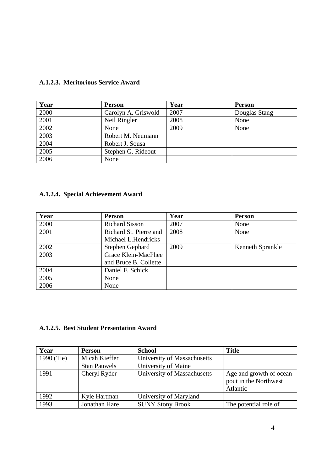| Year | <b>Person</b>       | Year | <b>Person</b> |
|------|---------------------|------|---------------|
| 2000 | Carolyn A. Griswold | 2007 | Douglas Stang |
| 2001 | Neil Ringler        | 2008 | None          |
| 2002 | None                | 2009 | None          |
| 2003 | Robert M. Neumann   |      |               |
| 2004 | Robert J. Sousa     |      |               |
| 2005 | Stephen G. Rideout  |      |               |
| 2006 | None                |      |               |

### **A.1.2.3. Meritorious Service Award**

# **A.1.2.4. Special Achievement Award**

| Year | <b>Person</b>          | Year | Person           |
|------|------------------------|------|------------------|
| 2000 | <b>Richard Sisson</b>  | 2007 | None             |
| 2001 | Richard St. Pierre and | 2008 | None             |
|      | Michael L.Hendricks    |      |                  |
| 2002 | Stephen Gephard        | 2009 | Kenneth Sprankle |
| 2003 | Grace Klein-MacPhee    |      |                  |
|      | and Bruce B. Collette  |      |                  |
| 2004 | Daniel F. Schick       |      |                  |
| 2005 | None                   |      |                  |
| 2006 | None                   |      |                  |

# **A.1.2.5. Best Student Presentation Award**

| Year       | <b>Person</b>       | <b>School</b>               | <b>Title</b>                                                 |
|------------|---------------------|-----------------------------|--------------------------------------------------------------|
| 1990 (Tie) | Micah Kieffer       | University of Massachusetts |                                                              |
|            | <b>Stan Pauwels</b> | University of Maine         |                                                              |
| 1991       | Cheryl Ryder        | University of Massachusetts | Age and growth of ocean<br>pout in the Northwest<br>Atlantic |
| 1992       | Kyle Hartman        | University of Maryland      |                                                              |
| 1993       | Jonathan Hare       | <b>SUNY Stony Brook</b>     | The potential role of                                        |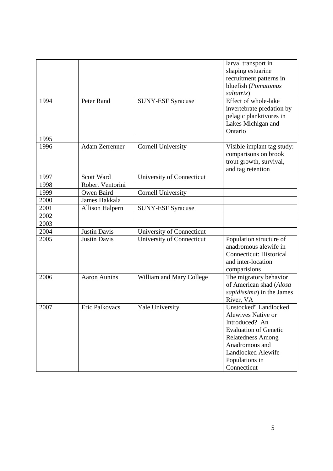|      |                        |                           | larval transport in            |
|------|------------------------|---------------------------|--------------------------------|
|      |                        |                           | shaping estuarine              |
|      |                        |                           | recruitment patterns in        |
|      |                        |                           | bluefish (Pomatomus            |
|      |                        |                           | saltatrix)                     |
| 1994 | Peter Rand             | <b>SUNY-ESF Syracuse</b>  | Effect of whole-lake           |
|      |                        |                           | invertebrate predation by      |
|      |                        |                           | pelagic planktivores in        |
|      |                        |                           | Lakes Michigan and             |
|      |                        |                           | Ontario                        |
| 1995 |                        |                           |                                |
| 1996 | <b>Adam Zerrenner</b>  | <b>Cornell University</b> | Visible implant tag study:     |
|      |                        |                           | comparisons on brook           |
|      |                        |                           | trout growth, survival,        |
|      |                        |                           | and tag retention              |
| 1997 | Scott Ward             | University of Connecticut |                                |
| 1998 | Robert Ventorini       |                           |                                |
| 1999 | Owen Baird             | <b>Cornell University</b> |                                |
| 2000 | James Hakkala          |                           |                                |
| 2001 | <b>Allison Halpern</b> | <b>SUNY-ESF Syracuse</b>  |                                |
| 2002 |                        |                           |                                |
| 2003 |                        |                           |                                |
| 2004 | <b>Justin Davis</b>    | University of Connecticut |                                |
| 2005 | <b>Justin Davis</b>    | University of Connecticut | Population structure of        |
|      |                        |                           | anadromous alewife in          |
|      |                        |                           | <b>Connecticut: Historical</b> |
|      |                        |                           | and inter-location             |
|      |                        |                           | comparisions                   |
| 2006 | <b>Aaron Aunins</b>    | William and Mary College  | The migratory behavior         |
|      |                        |                           | of American shad (Alosa        |
|      |                        |                           | sapidissima) in the James      |
|      |                        |                           | River, VA                      |
| 2007 | Eric Palkovacs         | Yale University           | Unstocked" Landlocked          |
|      |                        |                           | Alewives Native or             |
|      |                        |                           | Introduced? An                 |
|      |                        |                           | <b>Evaluation of Genetic</b>   |
|      |                        |                           | <b>Relatedness Among</b>       |
|      |                        |                           | Anadromous and                 |
|      |                        |                           | Landlocked Alewife             |
|      |                        |                           | Populations in                 |
|      |                        |                           | Connecticut                    |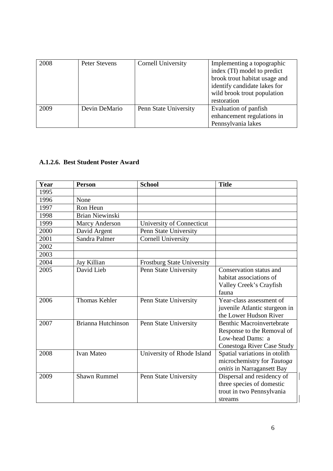| 2008 | Peter Stevens | Cornell University    | Implementing a topographic<br>index (TI) model to predict<br>brook trout habitat usage and<br>identify candidate lakes for<br>wild brook trout population<br>restoration |
|------|---------------|-----------------------|--------------------------------------------------------------------------------------------------------------------------------------------------------------------------|
| 2009 | Devin DeMario | Penn State University | Evaluation of panfish<br>enhancement regulations in<br>Pennsylvania lakes                                                                                                |

# **A.1.2.6. Best Student Poster Award**

| Year | <b>Person</b>             | <b>School</b>                     | <b>Title</b>                                                                                                     |
|------|---------------------------|-----------------------------------|------------------------------------------------------------------------------------------------------------------|
| 1995 |                           |                                   |                                                                                                                  |
| 1996 | None                      |                                   |                                                                                                                  |
| 1997 | Ron Heun                  |                                   |                                                                                                                  |
| 1998 | <b>Brian Niewinski</b>    |                                   |                                                                                                                  |
| 1999 | <b>Marcy Anderson</b>     | University of Connecticut         |                                                                                                                  |
| 2000 | David Argent              | Penn State University             |                                                                                                                  |
| 2001 | Sandra Palmer             | <b>Cornell University</b>         |                                                                                                                  |
| 2002 |                           |                                   |                                                                                                                  |
| 2003 |                           |                                   |                                                                                                                  |
| 2004 | Jay Killian               | <b>Frostburg State University</b> |                                                                                                                  |
| 2005 | David Lieb                | Penn State University             | Conservation status and<br>habitat associations of<br>Valley Creek's Crayfish                                    |
|      |                           |                                   | fauna                                                                                                            |
| 2006 | <b>Thomas Kehler</b>      | Penn State University             | Year-class assessment of<br>juvenile Atlantic sturgeon in                                                        |
|      |                           |                                   | the Lower Hudson River                                                                                           |
| 2007 | <b>Brianna Hutchinson</b> | Penn State University             | <b>Benthic Macroinvertebrate</b><br>Response to the Removal of<br>Low-head Dams: a<br>Conestoga River Case Study |
| 2008 | <b>Ivan Mateo</b>         | University of Rhode Island        | Spatial variations in otolith<br>microchemistry for Tautoga<br>onitis in Narragansett Bay                        |
| 2009 | <b>Shawn Rummel</b>       | Penn State University             | Dispersal and residency of<br>three species of domestic<br>trout in two Pennsylvania<br>streams                  |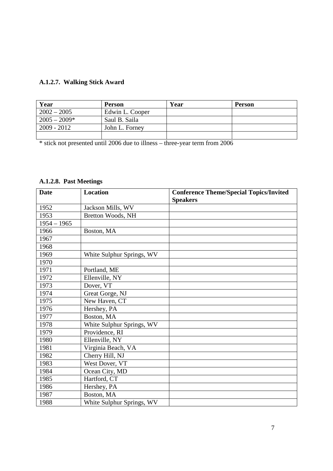# **A.1.2.7. Walking Stick Award**

| Year           | <b>Person</b>   | Year | <b>Person</b> |
|----------------|-----------------|------|---------------|
| $2002 - 2005$  | Edwin L. Cooper |      |               |
| $2005 - 2009*$ | Saul B. Saila   |      |               |
| $2009 - 2012$  | John L. Forney  |      |               |
|                |                 |      |               |

\* stick not presented until 2006 due to illness – three-year term from 2006

# **A.1.2.8. Past Meetings**

| <b>Date</b>   | <b>Location</b>           | <b>Conference Theme/Special Topics/Invited</b><br><b>Speakers</b> |
|---------------|---------------------------|-------------------------------------------------------------------|
| 1952          | Jackson Mills, WV         |                                                                   |
| 1953          | Bretton Woods, NH         |                                                                   |
| $1954 - 1965$ |                           |                                                                   |
| 1966          | Boston, MA                |                                                                   |
| 1967          |                           |                                                                   |
| 1968          |                           |                                                                   |
| 1969          | White Sulphur Springs, WV |                                                                   |
| 1970          |                           |                                                                   |
| 1971          | Portland, ME              |                                                                   |
| 1972          | Ellenville, NY            |                                                                   |
| 1973          | Dover, VT                 |                                                                   |
| 1974          | Great Gorge, NJ           |                                                                   |
| 1975          | New Haven, CT             |                                                                   |
| 1976          | Hershey, PA               |                                                                   |
| 1977          | Boston, MA                |                                                                   |
| 1978          | White Sulphur Springs, WV |                                                                   |
| 1979          | Providence, RI            |                                                                   |
| 1980          | Ellenville, NY            |                                                                   |
| 1981          | Virginia Beach, VA        |                                                                   |
| 1982          | Cherry Hill, NJ           |                                                                   |
| 1983          | West Dover, VT            |                                                                   |
| 1984          | Ocean City, MD            |                                                                   |
| 1985          | Hartford, CT              |                                                                   |
| 1986          | Hershey, PA               |                                                                   |
| 1987          | Boston, MA                |                                                                   |
| 1988          | White Sulphur Springs, WV |                                                                   |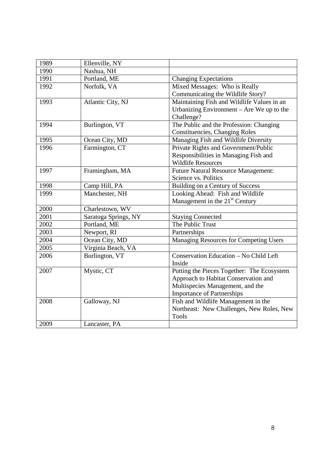| 1989 | Ellenville, NY       |                                               |
|------|----------------------|-----------------------------------------------|
| 1990 | Nashua, NH           |                                               |
| 1991 | Portland, ME         | <b>Changing Expectations</b>                  |
| 1992 | Norfolk, VA          | Mixed Messages: Who is Really                 |
|      |                      | Communicating the Wildlife Story?             |
| 1993 | Atlantic City, NJ    | Maintaining Fish and Wildlife Values in an    |
|      |                      | Urbanizing Environment – Are We up to the     |
|      |                      | Challenge?                                    |
| 1994 | Burlington, VT       | The Public and the Profession: Changing       |
|      |                      | <b>Constituencies, Changing Roles</b>         |
| 1995 | Ocean City, MD       | Managing Fish and Wildlife Diversity          |
| 1996 | Farmington, CT       | Private Rights and Government/Public          |
|      |                      | Responsibilities in Managing Fish and         |
|      |                      | <b>Wildlife Resources</b>                     |
| 1997 | Framingham, MA       | <b>Future Natural Resource Management:</b>    |
|      |                      | Science vs. Politics                          |
| 1998 | Camp Hill, PA        | Building on a Century of Success              |
| 1999 | Manchester, NH       | Looking Ahead: Fish and Wildlife              |
|      |                      | Management in the 21 <sup>st</sup> Century    |
| 2000 | Charlestown, WV      |                                               |
| 2001 | Saratoga Springs, NY | <b>Staying Connected</b>                      |
| 2002 | Portland, ME         | The Public Trust                              |
| 2003 | Newport, RI          | Partnerships                                  |
| 2004 | Ocean City, MD       | <b>Managing Resources for Competing Users</b> |
| 2005 | Virginia Beach, VA   |                                               |
| 2006 | Burlington, VT       | Conservation Education - No Child Left        |
|      |                      | Inside                                        |
| 2007 | Mystic, CT           | Putting the Pieces Together: The Ecosystem    |
|      |                      | Approach to Habitat Conservation and          |
|      |                      | Multispecies Management, and the              |
|      |                      | <b>Importance of Partnerships</b>             |
| 2008 | Galloway, NJ         | Fish and Wildlife Management in the           |
|      |                      | Northeast: New Challenges, New Roles, New     |
|      |                      | <b>Tools</b>                                  |
| 2009 | Lancaster, PA        |                                               |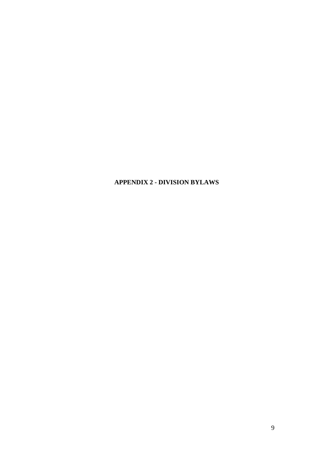**APPENDIX 2 - DIVISION BYLAWS**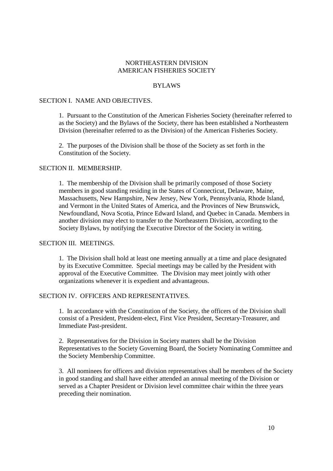### NORTHEASTERN DIVISION AMERICAN FISHERIES SOCIETY

### BYLAWS

#### SECTION I. NAME AND OBJECTIVES.

1. Pursuant to the Constitution of the American Fisheries Society (hereinafter referred to as the Society) and the Bylaws of the Society, there has been established a Northeastern Division (hereinafter referred to as the Division) of the American Fisheries Society.

2. The purposes of the Division shall be those of the Society as set forth in the Constitution of the Society.

#### SECTION II. MEMBERSHIP.

1. The membership of the Division shall be primarily composed of those Society members in good standing residing in the States of Connecticut, Delaware, Maine, Massachusetts, New Hampshire, New Jersey, New York, Pennsylvania, Rhode Island, and Vermont in the United States of America, and the Provinces of New Brunswick, Newfoundland, Nova Scotia, Prince Edward Island, and Quebec in Canada. Members in another division may elect to transfer to the Northeastern Division, according to the Society Bylaws, by notifying the Executive Director of the Society in writing.

### SECTION III. MEETINGS.

1. The Division shall hold at least one meeting annually at a time and place designated by its Executive Committee. Special meetings may be called by the President with approval of the Executive Committee. The Division may meet jointly with other organizations whenever it is expedient and advantageous.

#### SECTION IV. OFFICERS AND REPRESENTATIVES.

1. In accordance with the Constitution of the Society, the officers of the Division shall consist of a President, President-elect, First Vice President, Secretary-Treasurer, and Immediate Past-president.

2. Representatives for the Division in Society matters shall be the Division Representatives to the Society Governing Board, the Society Nominating Committee and the Society Membership Committee.

3. All nominees for officers and division representatives shall be members of the Society in good standing and shall have either attended an annual meeting of the Division or served as a Chapter President or Division level committee chair within the three years preceding their nomination.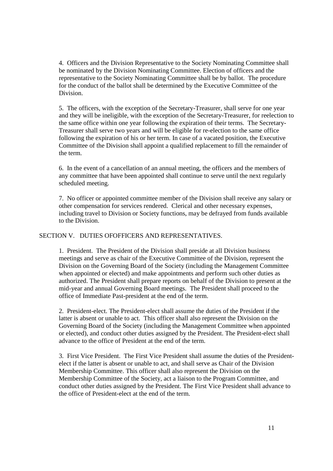4. Officers and the Division Representative to the Society Nominating Committee shall be nominated by the Division Nominating Committee. Election of officers and the representative to the Society Nominating Committee shall be by ballot. The procedure for the conduct of the ballot shall be determined by the Executive Committee of the Division.

5. The officers, with the exception of the Secretary-Treasurer, shall serve for one year and they will be ineligible, with the exception of the Secretary-Treasurer, for reelection to the same office within one year following the expiration of their terms. The Secretary-Treasurer shall serve two years and will be eligible for re-election to the same office following the expiration of his or her term. In case of a vacated position, the Executive Committee of the Division shall appoint a qualified replacement to fill the remainder of the term.

6. In the event of a cancellation of an annual meeting, the officers and the members of any committee that have been appointed shall continue to serve until the next regularly scheduled meeting.

7. No officer or appointed committee member of the Division shall receive any salary or other compensation for services rendered. Clerical and other necessary expenses, including travel to Division or Society functions, may be defrayed from funds available to the Division.

### SECTION V. DUTIES OFOFFICERS AND REPRESENTATIVES.

1. President. The President of the Division shall preside at all Division business meetings and serve as chair of the Executive Committee of the Division, represent the Division on the Governing Board of the Society (including the Management Committee when appointed or elected) and make appointments and perform such other duties as authorized. The President shall prepare reports on behalf of the Division to present at the mid-year and annual Governing Board meetings. The President shall proceed to the office of Immediate Past-president at the end of the term.

2. President-elect. The President-elect shall assume the duties of the President if the latter is absent or unable to act. This officer shall also represent the Division on the Governing Board of the Society (including the Management Committee when appointed or elected), and conduct other duties assigned by the President. The President-elect shall advance to the office of President at the end of the term.

3. First Vice President. The First Vice President shall assume the duties of the Presidentelect if the latter is absent or unable to act, and shall serve as Chair of the Division Membership Committee. This officer shall also represent the Division on the Membership Committee of the Society, act a liaison to the Program Committee, and conduct other duties assigned by the President. The First Vice President shall advance to the office of President-elect at the end of the term.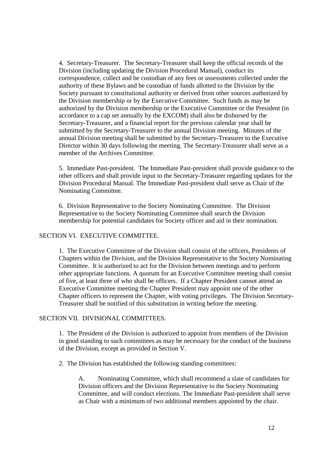4. Secretary-Treasurer. The Secretary-Treasurer shall keep the official records of the Division (including updating the Division Procedural Manual), conduct its correspondence, collect and be custodian of any fees or assessments collected under the authority of these Bylaws and be custodian of funds allotted to the Division by the Society pursuant to constitutional authority or derived from other sources authorized by the Division membership or by the Executive Committee. Such funds as may be authorized by the Division membership or the Executive Committee or the President (in accordance to a cap set annually by the EXCOM) shall also be disbursed by the Secretary-Treasurer, and a financial report for the previous calendar year shall be submitted by the Secretary-Treasurer to the annual Division meeting. Minutes of the annual Division meeting shall be submitted by the Secretary-Treasurer to the Executive Director within 30 days following the meeting. The Secretary-Treasurer shall serve as a member of the Archives Committee.

5. Immediate Past-president. The Immediate Past-president shall provide guidance to the other officers and shall provide input to the Secretary-Treasurer regarding updates for the Division Procedural Manual. The Immediate Past-president shall serve as Chair of the Nominating Committee.

6. Division Representative to the Society Nominating Committee. The Division Representative to the Society Nominating Committee shall search the Division membership for potential candidates for Society officer and aid in their nomination.

### SECTION VI. EXECUTIVE COMMITTEE.

1. The Executive Committee of the Division shall consist of the officers, Presidents of Chapters within the Division, and the Division Representative to the Society Nominating Committee. It is authorized to act for the Division between meetings and to perform other appropriate functions. A quorum for an Executive Committee meeting shall consist of five, at least three of who shall be officers. If a Chapter President cannot attend an Executive Committee meeting the Chapter President may appoint one of the other Chapter officers to represent the Chapter, with voting privileges. The Division Secretary-Treasurer shall be notified of this substitution in writing before the meeting.

### SECTION VII. DIVISIONAL COMMITTEES.

1. The President of the Division is authorized to appoint from members of the Division in good standing to such committees as may be necessary for the conduct of the business of the Division, except as provided in Section V.

2. The Division has established the following standing committees:

A. Nominating Committee, which shall recommend a slate of candidates for Division officers and the Division Representative to the Society Nominating Committee, and will conduct elections. The Immediate Past-president shall serve as Chair with a minimum of two additional members appointed by the chair.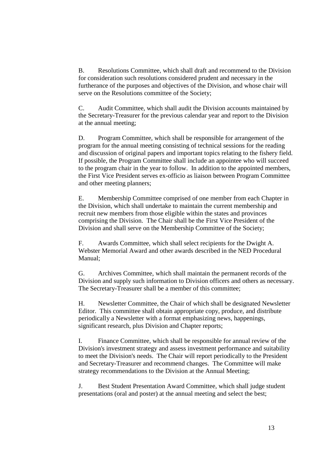B. Resolutions Committee, which shall draft and recommend to the Division for consideration such resolutions considered prudent and necessary in the furtherance of the purposes and objectives of the Division, and whose chair will serve on the Resolutions committee of the Society;

C. Audit Committee, which shall audit the Division accounts maintained by the Secretary-Treasurer for the previous calendar year and report to the Division at the annual meeting;

D. Program Committee, which shall be responsible for arrangement of the program for the annual meeting consisting of technical sessions for the reading and discussion of original papers and important topics relating to the fishery field. If possible, the Program Committee shall include an appointee who will succeed to the program chair in the year to follow. In addition to the appointed members, the First Vice President serves ex-officio as liaison between Program Committee and other meeting planners;

E. Membership Committee comprised of one member from each Chapter in the Division, which shall undertake to maintain the current membership and recruit new members from those eligible within the states and provinces comprising the Division. The Chair shall be the First Vice President of the Division and shall serve on the Membership Committee of the Society;

F. Awards Committee, which shall select recipients for the Dwight A. Webster Memorial Award and other awards described in the NED Procedural Manual;

G. Archives Committee, which shall maintain the permanent records of the Division and supply such information to Division officers and others as necessary. The Secretary-Treasurer shall be a member of this committee;

H. Newsletter Committee, the Chair of which shall be designated Newsletter Editor. This committee shall obtain appropriate copy, produce, and distribute periodically a Newsletter with a format emphasizing news, happenings, significant research, plus Division and Chapter reports;

I. Finance Committee, which shall be responsible for annual review of the Division's investment strategy and assess investment performance and suitability to meet the Division's needs. The Chair will report periodically to the President and Secretary-Treasurer and recommend changes. The Committee will make strategy recommendations to the Division at the Annual Meeting;

J. Best Student Presentation Award Committee, which shall judge student presentations (oral and poster) at the annual meeting and select the best;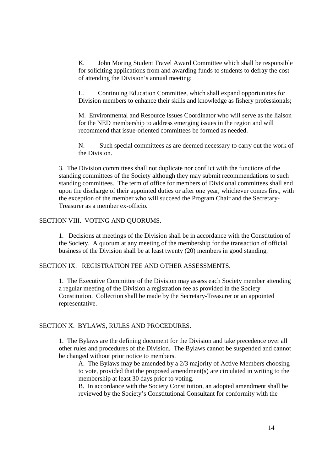K. John Moring Student Travel Award Committee which shall be responsible for soliciting applications from and awarding funds to students to defray the cost of attending the Division's annual meeting;

L. Continuing Education Committee, which shall expand opportunities for Division members to enhance their skills and knowledge as fishery professionals;

M. Environmental and Resource Issues Coordinator who will serve as the liaison for the NED membership to address emerging issues in the region and will recommend that issue-oriented committees be formed as needed.

N. Such special committees as are deemed necessary to carry out the work of the Division.

3. The Division committees shall not duplicate nor conflict with the functions of the standing committees of the Society although they may submit recommendations to such standing committees. The term of office for members of Divisional committees shall end upon the discharge of their appointed duties or after one year, whichever comes first, with the exception of the member who will succeed the Program Chair and the Secretary-Treasurer as a member ex-officio.

### SECTION VIII. VOTING AND QUORUMS.

1. Decisions at meetings of the Division shall be in accordance with the Constitution of the Society. A quorum at any meeting of the membership for the transaction of official business of the Division shall be at least twenty (20) members in good standing.

#### SECTION IX. REGISTRATION FEE AND OTHER ASSESSMENTS.

1. The Executive Committee of the Division may assess each Society member attending a regular meeting of the Division a registration fee as provided in the Society Constitution. Collection shall be made by the Secretary-Treasurer or an appointed representative.

#### SECTION X. BYLAWS, RULES AND PROCEDURES.

1. The Bylaws are the defining document for the Division and take precedence over all other rules and procedures of the Division. The Bylaws cannot be suspended and cannot be changed without prior notice to members.

A. The Bylaws may be amended by a 2/3 majority of Active Members choosing to vote, provided that the proposed amendment(s) are circulated in writing to the membership at least 30 days prior to voting.

B. In accordance with the Society Constitution, an adopted amendment shall be reviewed by the Society's Constitutional Consultant for conformity with the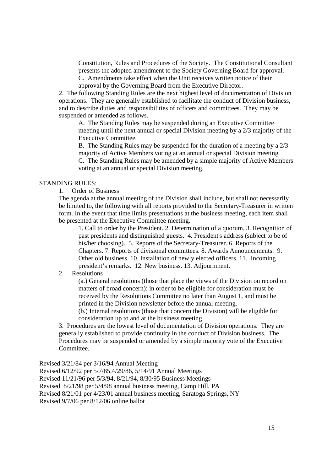Constitution, Rules and Procedures of the Society. The Constitutional Consultant presents the adopted amendment to the Society Governing Board for approval. C. Amendments take effect when the Unit receives written notice of their approval by the Governing Board from the Executive Director.

2. The following Standing Rules are the next highest level of documentation of Division operations. They are generally established to facilitate the conduct of Division business, and to describe duties and responsibilities of officers and committees. They may be suspended or amended as follows.

A. The Standing Rules may be suspended during an Executive Committee meeting until the next annual or special Division meeting by a 2/3 majority of the Executive Committee.

B. The Standing Rules may be suspended for the duration of a meeting by a 2/3 majority of Active Members voting at an annual or special Division meeting.

C. The Standing Rules may be amended by a simple majority of Active Members voting at an annual or special Division meeting.

#### STANDING RULES:

1. Order of Business

The agenda at the annual meeting of the Division shall include, but shall not necessarily be limited to, the following with all reports provided to the Secretary-Treasurer in written form. In the event that time limits presentations at the business meeting, each item shall be presented at the Executive Committee meeting.

1. Call to order by the President. 2. Determination of a quorum. 3. Recognition of past presidents and distinguished guests. 4. President's address (subject to be of his/her choosing). 5. Reports of the Secretary-Treasurer. 6. Reports of the Chapters. 7. Reports of divisional committees. 8. Awards Announcements. 9. Other old business. 10. Installation of newly elected officers. 11. Incoming president's remarks. 12. New business. 13. Adjournment.

### 2. Resolutions

(a.) General resolutions (those that place the views of the Division on record on matters of broad concern): in order to be eligible for consideration must be received by the Resolutions Committee no later than August 1, and must be printed in the Division newsletter before the annual meeting.

(b.) Internal resolutions (those that concern the Division) will be eligible for consideration up to and at the business meeting.

3. Procedures are the lowest level of documentation of Division operations. They are generally established to provide continuity in the conduct of Division business. The Procedures may be suspended or amended by a simple majority vote of the Executive Committee.

Revised 3/21/84 per 3/16/94 Annual Meeting

Revised 6/12/92 per 5/7/85,4/29/86, 5/14/91 Annual Meetings

Revised 11/21/96 per 5/3/94, 8/21/94, 8/30/95 Business Meetings

Revised 8/21/98 per 5/4/98 annual business meeting, Camp Hill, PA

Revised 8/21/01 per 4/23/01 annual business meeting, Saratoga Springs, NY

Revised 9/7/06 per 8/12/06 online ballot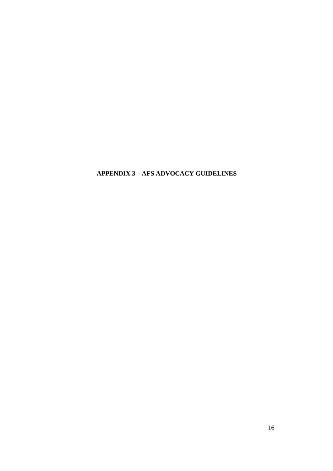**APPENDIX 3 – AFS ADVOCACY GUIDELINES**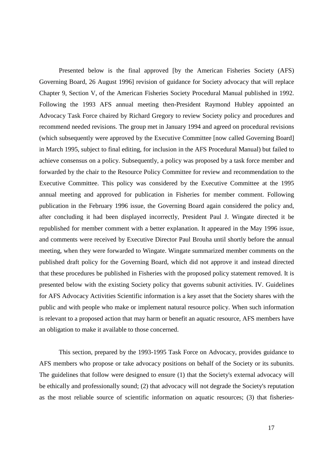Presented below is the final approved [by the American Fisheries Society (AFS) Governing Board, 26 August 1996] revision of guidance for Society advocacy that will replace Chapter 9, Section V, of the American Fisheries Society Procedural Manual published in 1992. Following the 1993 AFS annual meeting then-President Raymond Hubley appointed an Advocacy Task Force chaired by Richard Gregory to review Society policy and procedures and recommend needed revisions. The group met in January 1994 and agreed on procedural revisions (which subsequently were approved by the Executive Committee [now called Governing Board] in March 1995, subject to final editing, for inclusion in the AFS Procedural Manual) but failed to achieve consensus on a policy. Subsequently, a policy was proposed by a task force member and forwarded by the chair to the Resource Policy Committee for review and recommendation to the Executive Committee. This policy was considered by the Executive Committee at the 1995 annual meeting and approved for publication in Fisheries for member comment. Following publication in the February 1996 issue, the Governing Board again considered the policy and, after concluding it had been displayed incorrectly, President Paul J. Wingate directed it be republished for member comment with a better explanation. It appeared in the May 1996 issue, and comments were received by Executive Director Paul Brouha until shortly before the annual meeting, when they were forwarded to Wingate. Wingate summarized member comments on the published draft policy for the Governing Board, which did not approve it and instead directed that these procedures be published in Fisheries with the proposed policy statement removed. It is presented below with the existing Society policy that governs subunit activities. IV. Guidelines for AFS Advocacy Activities Scientific information is a key asset that the Society shares with the public and with people who make or implement natural resource policy. When such information is relevant to a proposed action that may harm or benefit an aquatic resource, AFS members have an obligation to make it available to those concerned.

This section, prepared by the 1993-1995 Task Force on Advocacy, provides guidance to AFS members who propose or take advocacy positions on behalf of the Society or its subunits. The guidelines that follow were designed to ensure (1) that the Society's external advocacy will be ethically and professionally sound; (2) that advocacy will not degrade the Society's reputation as the most reliable source of scientific information on aquatic resources; (3) that fisheries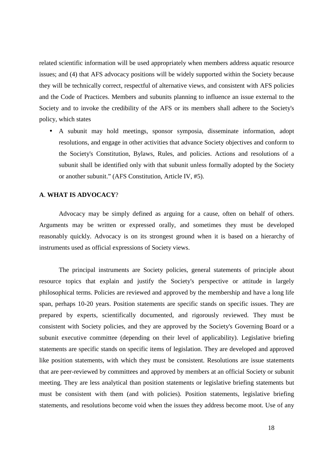related scientific information will be used appropriately when members address aquatic resource issues; and (4) that AFS advocacy positions will be widely supported within the Society because they will be technically correct, respectful of alternative views, and consistent with AFS policies and the Code of Practices. Members and subunits planning to influence an issue external to the Society and to invoke the credibility of the AFS or its members shall adhere to the Society's policy, which states

• A subunit may hold meetings, sponsor symposia, disseminate information, adopt resolutions, and engage in other activities that advance Society objectives and conform to the Society's Constitution, Bylaws, Rules, and policies. Actions and resolutions of a subunit shall be identified only with that subunit unless formally adopted by the Society or another subunit." (AFS Constitution, Article IV, #5).

### **A**. **WHAT IS ADVOCACY**?

Advocacy may be simply defined as arguing for a cause, often on behalf of others. Arguments may be written or expressed orally, and sometimes they must be developed reasonably quickly. Advocacy is on its strongest ground when it is based on a hierarchy of instruments used as official expressions of Society views.

The principal instruments are Society policies, general statements of principle about resource topics that explain and justify the Society's perspective or attitude in largely philosophical terms. Policies are reviewed and approved by the membership and have a long life span, perhaps 10-20 years. Position statements are specific stands on specific issues. They are prepared by experts, scientifically documented, and rigorously reviewed. They must be consistent with Society policies, and they are approved by the Society's Governing Board or a subunit executive committee (depending on their level of applicability). Legislative briefing statements are specific stands on specific items of legislation. They are developed and approved like position statements, with which they must be consistent. Resolutions are issue statements that are peer-reviewed by committees and approved by members at an official Society or subunit meeting. They are less analytical than position statements or legislative briefing statements but must be consistent with them (and with policies). Position statements, legislative briefing statements, and resolutions become void when the issues they address become moot. Use of any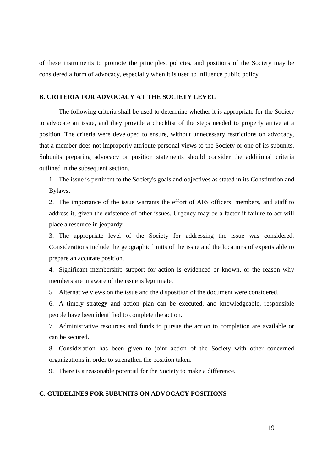of these instruments to promote the principles, policies, and positions of the Society may be considered a form of advocacy, especially when it is used to influence public policy.

### **B. CRITERIA FOR ADVOCACY AT THE SOCIETY LEVEL**

The following criteria shall be used to determine whether it is appropriate for the Society to advocate an issue, and they provide a checklist of the steps needed to properly arrive at a position. The criteria were developed to ensure, without unnecessary restrictions on advocacy, that a member does not improperly attribute personal views to the Society or one of its subunits. Subunits preparing advocacy or position statements should consider the additional criteria outlined in the subsequent section.

1. The issue is pertinent to the Society's goals and objectives as stated in its Constitution and Bylaws.

2. The importance of the issue warrants the effort of AFS officers, members, and staff to address it, given the existence of other issues. Urgency may be a factor if failure to act will place a resource in jeopardy.

3. The appropriate level of the Society for addressing the issue was considered. Considerations include the geographic limits of the issue and the locations of experts able to prepare an accurate position.

4. Significant membership support for action is evidenced or known, or the reason why members are unaware of the issue is legitimate.

5. Alternative views on the issue and the disposition of the document were considered.

6. A timely strategy and action plan can be executed, and knowledgeable, responsible people have been identified to complete the action.

7. Administrative resources and funds to pursue the action to completion are available or can be secured.

8. Consideration has been given to joint action of the Society with other concerned organizations in order to strengthen the position taken.

9. There is a reasonable potential for the Society to make a difference.

### **C. GUIDELINES FOR SUBUNITS ON ADVOCACY POSITIONS**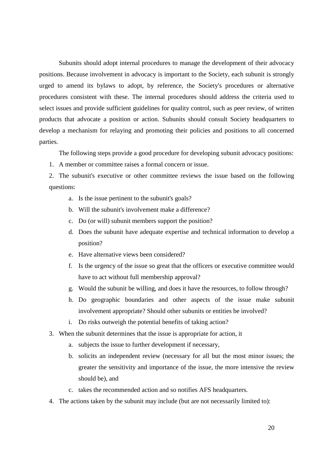Subunits should adopt internal procedures to manage the development of their advocacy positions. Because involvement in advocacy is important to the Society, each subunit is strongly urged to amend its bylaws to adopt, by reference, the Society's procedures or alternative procedures consistent with these. The internal procedures should address the criteria used to select issues and provide sufficient guidelines for quality control, such as peer review, of written products that advocate a position or action. Subunits should consult Society headquarters to develop a mechanism for relaying and promoting their policies and positions to all concerned parties.

The following steps provide a good procedure for developing subunit advocacy positions:

- 1. A member or committee raises a formal concern or issue.
- 2. The subunit's executive or other committee reviews the issue based on the following questions:
	- a. Is the issue pertinent to the subunit's goals?
	- b. Will the subunit's involvement make a difference?
	- c. Do (or will) subunit members support the position?
	- d. Does the subunit have adequate expertise and technical information to develop a position?
	- e. Have alternative views been considered?
	- f. Is the urgency of the issue so great that the officers or executive committee would have to act without full membership approval?
	- g. Would the subunit be willing, and does it have the resources, to follow through?
	- h. Do geographic boundaries and other aspects of the issue make subunit involvement appropriate? Should other subunits or entities be involved?
	- i. Do risks outweigh the potential benefits of taking action?
- 3. When the subunit determines that the issue is appropriate for action, it
	- a. subjects the issue to further development if necessary,
	- b. solicits an independent review (necessary for all but the most minor issues; the greater the sensitivity and importance of the issue, the more intensive the review should be), and
	- c. takes the recommended action and so notifies AFS headquarters.
- 4. The actions taken by the subunit may include (but are not necessarily limited to):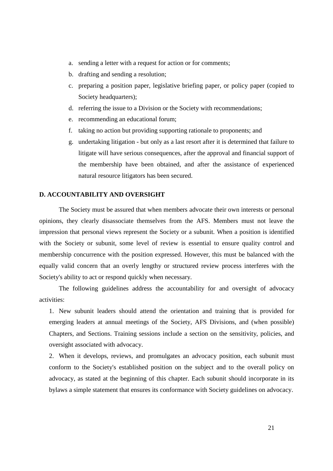- a. sending a letter with a request for action or for comments;
- b. drafting and sending a resolution;
- c. preparing a position paper, legislative briefing paper, or policy paper (copied to Society headquarters);
- d. referring the issue to a Division or the Society with recommendations;
- e. recommending an educational forum;
- f. taking no action but providing supporting rationale to proponents; and
- g. undertaking litigation but only as a last resort after it is determined that failure to litigate will have serious consequences, after the approval and financial support of the membership have been obtained, and after the assistance of experienced natural resource litigators has been secured.

### **D. ACCOUNTABILITY AND OVERSIGHT**

The Society must be assured that when members advocate their own interests or personal opinions, they clearly disassociate themselves from the AFS. Members must not leave the impression that personal views represent the Society or a subunit. When a position is identified with the Society or subunit, some level of review is essential to ensure quality control and membership concurrence with the position expressed. However, this must be balanced with the equally valid concern that an overly lengthy or structured review process interferes with the Society's ability to act or respond quickly when necessary.

The following guidelines address the accountability for and oversight of advocacy activities:

1. New subunit leaders should attend the orientation and training that is provided for emerging leaders at annual meetings of the Society, AFS Divisions, and (when possible) Chapters, and Sections. Training sessions include a section on the sensitivity, policies, and oversight associated with advocacy.

2. When it develops, reviews, and promulgates an advocacy position, each subunit must conform to the Society's established position on the subject and to the overall policy on advocacy, as stated at the beginning of this chapter. Each subunit should incorporate in its bylaws a simple statement that ensures its conformance with Society guidelines on advocacy.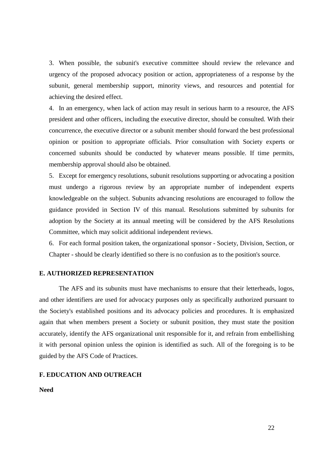3. When possible, the subunit's executive committee should review the relevance and urgency of the proposed advocacy position or action, appropriateness of a response by the subunit, general membership support, minority views, and resources and potential for achieving the desired effect.

4. In an emergency, when lack of action may result in serious harm to a resource, the AFS president and other officers, including the executive director, should be consulted. With their concurrence, the executive director or a subunit member should forward the best professional opinion or position to appropriate officials. Prior consultation with Society experts or concerned subunits should be conducted by whatever means possible. If time permits, membership approval should also be obtained.

5. Except for emergency resolutions, subunit resolutions supporting or advocating a position must undergo a rigorous review by an appropriate number of independent experts knowledgeable on the subject. Subunits advancing resolutions are encouraged to follow the guidance provided in Section IV of this manual. Resolutions submitted by subunits for adoption by the Society at its annual meeting will be considered by the AFS Resolutions Committee, which may solicit additional independent reviews.

6. For each formal position taken, the organizational sponsor - Society, Division, Section, or Chapter - should be clearly identified so there is no confusion as to the position's source.

### **E. AUTHORIZED REPRESENTATION**

The AFS and its subunits must have mechanisms to ensure that their letterheads, logos, and other identifiers are used for advocacy purposes only as specifically authorized pursuant to the Society's established positions and its advocacy policies and procedures. It is emphasized again that when members present a Society or subunit position, they must state the position accurately, identify the AFS organizational unit responsible for it, and refrain from embellishing it with personal opinion unless the opinion is identified as such. All of the foregoing is to be guided by the AFS Code of Practices.

#### **F. EDUCATION AND OUTREACH**

**Need**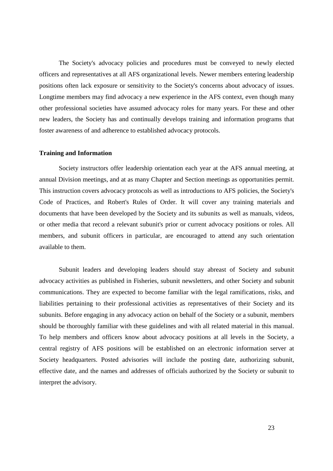The Society's advocacy policies and procedures must be conveyed to newly elected officers and representatives at all AFS organizational levels. Newer members entering leadership positions often lack exposure or sensitivity to the Society's concerns about advocacy of issues. Longtime members may find advocacy a new experience in the AFS context, even though many other professional societies have assumed advocacy roles for many years. For these and other new leaders, the Society has and continually develops training and information programs that foster awareness of and adherence to established advocacy protocols.

#### **Training and Information**

Society instructors offer leadership orientation each year at the AFS annual meeting, at annual Division meetings, and at as many Chapter and Section meetings as opportunities permit. This instruction covers advocacy protocols as well as introductions to AFS policies, the Society's Code of Practices, and Robert's Rules of Order. It will cover any training materials and documents that have been developed by the Society and its subunits as well as manuals, videos, or other media that record a relevant subunit's prior or current advocacy positions or roles. All members, and subunit officers in particular, are encouraged to attend any such orientation available to them.

Subunit leaders and developing leaders should stay abreast of Society and subunit advocacy activities as published in Fisheries, subunit newsletters, and other Society and subunit communications. They are expected to become familiar with the legal ramifications, risks, and liabilities pertaining to their professional activities as representatives of their Society and its subunits. Before engaging in any advocacy action on behalf of the Society or a subunit, members should be thoroughly familiar with these guidelines and with all related material in this manual. To help members and officers know about advocacy positions at all levels in the Society, a central registry of AFS positions will be established on an electronic information server at Society headquarters. Posted advisories will include the posting date, authorizing subunit, effective date, and the names and addresses of officials authorized by the Society or subunit to interpret the advisory.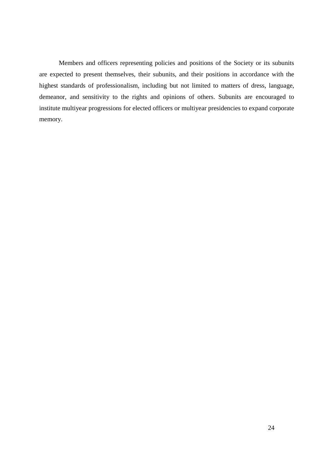Members and officers representing policies and positions of the Society or its subunits are expected to present themselves, their subunits, and their positions in accordance with the highest standards of professionalism, including but not limited to matters of dress, language, demeanor, and sensitivity to the rights and opinions of others. Subunits are encouraged to institute multiyear progressions for elected officers or multiyear presidencies to expand corporate memory.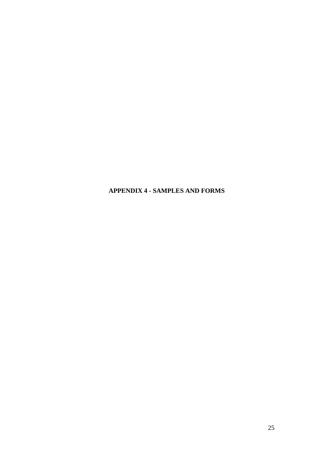**APPENDIX 4 - SAMPLES AND FORMS**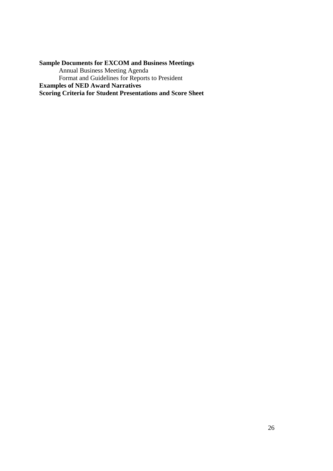# **Sample Documents for EXCOM and Business Meetings**

Annual Business Meeting Agenda Format and Guidelines for Reports to President **Examples of NED Award Narratives Scoring Criteria for Student Presentations and Score Sheet**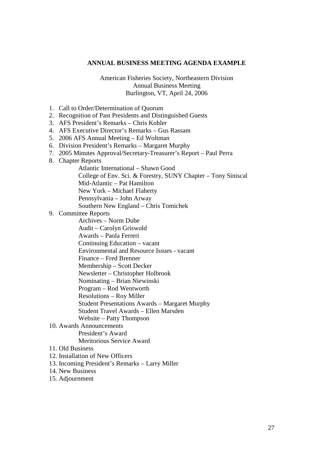### **ANNUAL BUSINESS MEETING AGENDA EXAMPLE**

American Fisheries Society, Northeastern Division Annual Business Meeting Burlington, VT, April 24, 2006

- 1. Call to Order/Determination of Quorum
- 2. Recognition of Past Presidents and Distinguished Guests
- 3. AFS President's Remarks Chris Kohler
- 4. AFS Executive Director's Remarks Gus Rassam
- 5. 2006 AFS Annual Meeting Ed Woltman
- 6. Division President's Remarks Margaret Murphy
- 7. 2005 Minutes Approval/Secretary-Treasurer's Report Paul Perra
- 8. Chapter Reports
	- Atlantic International Shawn Good
	- College of Env. Sci. & Forestry, SUNY Chapter Tony Siniscal
	- Mid-Atlantic Pat Hamilton
	- New York Michael Flaherty
	- Pennsylvania John Arway

Southern New England – Chris Tomichek

9. Committee Reports

Archives – Norm Dube Audit – Carolyn Griswold Awards – Paola Ferreri Continuing Education – vacant Environmental and Resource Issues - vacant Finance – Fred Brenner Membership – Scott Decker Newsletter – Christopher Holbrook Nominating – Brian Niewinski Program – Rod Wentworth Resolutions – Roy Miller Student Presentations Awards – Margaret Murphy Student Travel Awards – Ellen Marsden Website – Patty Thompson

10. Awards Announcements President's Award

Meritorious Service Award

- 11. Old Business
- 12. Installation of New Officers
- 13. Incoming President's Remarks Larry Miller
- 14. New Business
- 15. Adjournment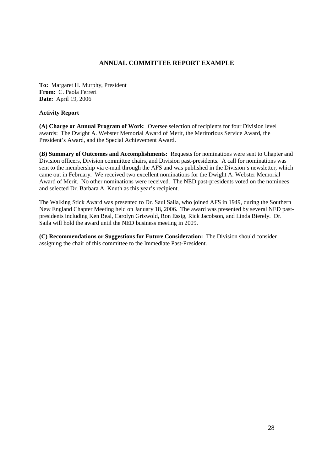### **ANNUAL COMMITTEE REPORT EXAMPLE**

**To:** Margaret H. Murphy, President **From:** C. Paola Ferreri **Date:** April 19, 2006

### **Activity Report**

**(A) Charge or Annual Program of Work**: Oversee selection of recipients for four Division level awards: The Dwight A. Webster Memorial Award of Merit, the Meritorious Service Award, the President's Award, and the Special Achievement Award.

**(B) Summary of Outcomes and Accomplishments:** Requests for nominations were sent to Chapter and Division officers, Division committee chairs, and Division past-presidents. A call for nominations was sent to the membership via e-mail through the AFS and was published in the Division's newsletter, which came out in February. We received two excellent nominations for the Dwight A. Webster Memorial Award of Merit. No other nominations were received. The NED past-presidents voted on the nominees and selected Dr. Barbara A. Knuth as this year's recipient.

The Walking Stick Award was presented to Dr. Saul Saila, who joined AFS in 1949, during the Southern New England Chapter Meeting held on January 18, 2006. The award was presented by several NED pastpresidents including Ken Beal, Carolyn Griswold, Ron Essig, Rick Jacobson, and Linda Bierely. Dr. Saila will hold the award until the NED business meeting in 2009.

**(C) Recommendations or Suggestions for Future Consideration:** The Division should consider assigning the chair of this committee to the Immediate Past-President.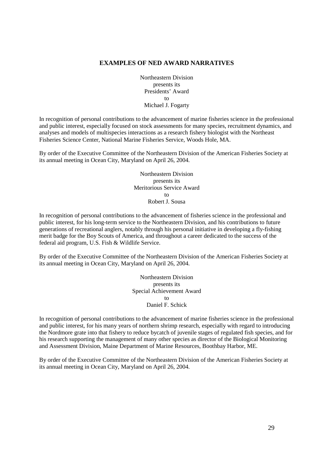### **EXAMPLES OF NED AWARD NARRATIVES**

Northeastern Division presents its Presidents' Award to Michael J. Fogarty

In recognition of personal contributions to the advancement of marine fisheries science in the professional and public interest, especially focused on stock assessments for many species, recruitment dynamics, and analyses and models of multispecies interactions as a research fishery biologist with the Northeast Fisheries Science Center, National Marine Fisheries Service, Woods Hole, MA.

By order of the Executive Committee of the Northeastern Division of the American Fisheries Society at its annual meeting in Ocean City, Maryland on April 26, 2004.

> Northeastern Division presents its Meritorious Service Award to Robert J. Sousa

In recognition of personal contributions to the advancement of fisheries science in the professional and public interest, for his long-term service to the Northeastern Division, and his contributions to future generations of recreational anglers, notably through his personal initiative in developing a fly-fishing merit badge for the Boy Scouts of America, and throughout a career dedicated to the success of the federal aid program, U.S. Fish & Wildlife Service.

By order of the Executive Committee of the Northeastern Division of the American Fisheries Society at its annual meeting in Ocean City, Maryland on April 26, 2004.

> Northeastern Division presents its Special Achievement Award to Daniel F. Schick

In recognition of personal contributions to the advancement of marine fisheries science in the professional and public interest, for his many years of northern shrimp research, especially with regard to introducing the Nordmore grate into that fishery to reduce bycatch of juvenile stages of regulated fish species, and for his research supporting the management of many other species as director of the Biological Monitoring and Assessment Division, Maine Department of Marine Resources, Boothbay Harbor, ME.

By order of the Executive Committee of the Northeastern Division of the American Fisheries Society at its annual meeting in Ocean City, Maryland on April 26, 2004.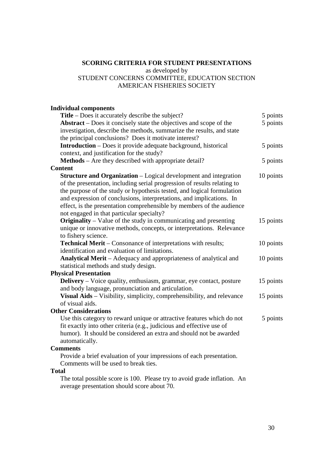# **SCORING CRITERIA FOR STUDENT PRESENTATIONS**

as developed by

## STUDENT CONCERNS COMMITTEE, EDUCATION SECTION AMERICAN FISHERIES SOCIETY

# **Individual components**

| <b>Title</b> – Does it accurately describe the subject?                           | 5 points  |
|-----------------------------------------------------------------------------------|-----------|
| <b>Abstract</b> – Does it concisely state the objectives and scope of the         | 5 points  |
| investigation, describe the methods, summarize the results, and state             |           |
| the principal conclusions? Does it motivate interest?                             |           |
| <b>Introduction</b> – Does it provide adequate background, historical             | 5 points  |
| context, and justification for the study?                                         |           |
| <b>Methods</b> – Are they described with appropriate detail?                      | 5 points  |
| <b>Content</b>                                                                    |           |
| <b>Structure and Organization</b> – Logical development and integration           | 10 points |
| of the presentation, including serial progression of results relating to          |           |
| the purpose of the study or hypothesis tested, and logical formulation            |           |
| and expression of conclusions, interpretations, and implications. In              |           |
| effect, is the presentation comprehensible by members of the audience             |           |
| not engaged in that particular specialty?                                         |           |
| <b>Originality</b> – Value of the study in communicating and presenting           | 15 points |
| unique or innovative methods, concepts, or interpretations. Relevance             |           |
| to fishery science.                                                               |           |
| <b>Technical Merit</b> – Consonance of interpretations with results;              | 10 points |
| identification and evaluation of limitations.                                     |           |
| Analytical Merit - Adequacy and appropriateness of analytical and                 | 10 points |
| statistical methods and study design.                                             |           |
| <b>Physical Presentation</b>                                                      |           |
| <b>Delivery</b> – Voice quality, enthusiasm, grammar, eye contact, posture        | 15 points |
| and body language, pronunciation and articulation.                                |           |
| Visual Aids – Visibility, simplicity, comprehensibility, and relevance            | 15 points |
| of visual aids.                                                                   |           |
| <b>Other Considerations</b>                                                       |           |
| Use this category to reward unique or attractive features which do not            | 5 points  |
| fit exactly into other criteria (e.g., judicious and effective use of             |           |
| humor). It should be considered an extra and should not be awarded                |           |
| automatically.                                                                    |           |
| <b>Comments</b>                                                                   |           |
| Provide a brief evaluation of your impressions of each presentation.              |           |
| Comments will be used to break ties.                                              |           |
| <b>Total</b>                                                                      |           |
| $\mathbf{a}$ and $\mathbf{a}$ and $\mathbf{a}$ and $\mathbf{a}$<br>$\overline{1}$ |           |

The total possible score is 100. Please try to avoid grade inflation. An average presentation should score about 70.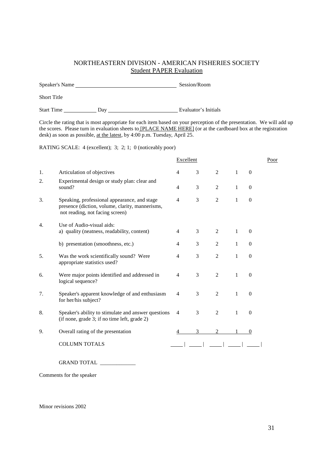### NORTHEASTERN DIVISION - AMERICAN FISHERIES SOCIETY Student PAPER Evaluation

Speaker's Name Session/Room

Short Title

Start Time Day Day Evaluator's Initials

Circle the rating that is most appropriate for each item based on your perception of the presentation. We will add up the scores. Please turn in evaluation sheets to [PLACE NAME HERE] (or at the cardboard box at the registration desk) as soon as possible, at the latest, by 4:00 p.m. Tuesday, April 25.

RATING SCALE: 4 (excellent); 3; 2; 1; 0 (noticeably poor)

|    |                                                                                                                                    | Excellent      |   |                |              |              | Poor |
|----|------------------------------------------------------------------------------------------------------------------------------------|----------------|---|----------------|--------------|--------------|------|
| 1. | Articulation of objectives                                                                                                         | $\overline{4}$ | 3 | 2              | $\mathbf{1}$ | $\Omega$     |      |
| 2. | Experimental design or study plan: clear and<br>sound?                                                                             | $\overline{4}$ | 3 | $\overline{2}$ | 1            | $\Omega$     |      |
| 3. | Speaking, professional appearance, and stage<br>presence (diction, volume, clarity, mannerisms,<br>not reading, not facing screen) | $\overline{4}$ | 3 | $\overline{2}$ | $\mathbf{1}$ | $\mathbf{0}$ |      |
| 4. | Use of Audio-visual aids:<br>a) quality (neatness, readability, content)                                                           | $\overline{4}$ | 3 | 2              | $\mathbf{1}$ | $\Omega$     |      |
|    | b) presentation (smoothness, etc.)                                                                                                 | $\overline{4}$ | 3 | $\overline{2}$ | 1            | $\Omega$     |      |
| 5. | Was the work scientifically sound? Were<br>appropriate statistics used?                                                            | $\overline{4}$ | 3 | $\overline{2}$ | $\mathbf{1}$ | $\Omega$     |      |
| 6. | Were major points identified and addressed in<br>logical sequence?                                                                 | $\overline{4}$ | 3 | $\overline{2}$ | $\mathbf{1}$ | $\Omega$     |      |
| 7. | Speaker's apparent knowledge of and enthusiasm<br>for her/his subject?                                                             | $\overline{4}$ | 3 | 2              | $\mathbf{1}$ | $\theta$     |      |
| 8. | Speaker's ability to stimulate and answer questions<br>(if none, grade 3; if no time left, grade 2)                                | $\overline{4}$ | 3 | 2              | $\mathbf{1}$ | $\Omega$     |      |
| 9. | Overall rating of the presentation                                                                                                 |                | 3 | $\overline{c}$ |              | $\Omega$     |      |
|    | <b>COLUMN TOTALS</b>                                                                                                               |                |   |                |              |              |      |

GRAND TOTAL \_\_\_\_\_\_\_\_\_\_\_\_\_

Comments for the speaker

Minor revisions 2002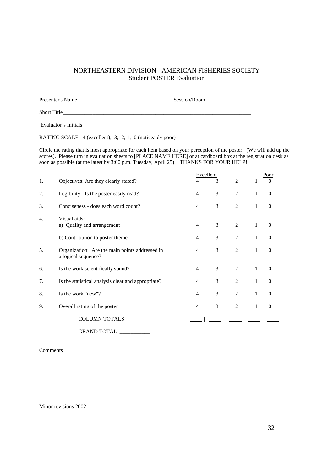### NORTHEASTERN DIVISION - AMERICAN FISHERIES SOCIETY Student POSTER Evaluation

Presenter's Name Session/Room \_\_\_\_\_\_\_\_\_\_\_\_\_\_\_\_

Short Title\_\_\_\_\_\_\_\_\_\_\_\_\_\_\_\_\_\_\_\_\_\_\_\_\_\_\_\_\_\_\_\_\_\_\_\_\_\_\_\_\_\_\_\_\_\_\_\_\_\_\_\_\_\_\_\_\_\_\_\_\_\_\_\_\_\_\_\_\_

Evaluator's Initials \_\_\_\_\_\_\_\_\_\_\_

RATING SCALE: 4 (excellent); 3; 2; 1; 0 (noticeably poor)

Circle the rating that is most appropriate for each item based on your perception of the poster. (We will add up the scores). Please turn in evaluation sheets to **[PLACE NAME HERE]** or at cardboard box at the registration desk as soon as possible (at the latest by 3:00 p.m. Tuesday, April 25). THANKS FOR YOUR HELP!

|    |                                                                       | Excellent      |   |                |              | Poor             |
|----|-----------------------------------------------------------------------|----------------|---|----------------|--------------|------------------|
| 1. | Objectives: Are they clearly stated?                                  | 4              | 3 | $\overline{2}$ | 1            | $\theta$         |
| 2. | Legibility - Is the poster easily read?                               | 4              | 3 | 2              | $\mathbf{1}$ | $\boldsymbol{0}$ |
| 3. | Conciseness - does each word count?                                   | 4              | 3 | 2              | $\mathbf{1}$ | $\theta$         |
| 4. | Visual aids:<br>a) Quality and arrangement                            | $\overline{4}$ | 3 | 2              | $\mathbf{1}$ | $\theta$         |
|    | b) Contribution to poster theme                                       | 4              | 3 | 2              | 1            | $\theta$         |
| 5. | Organization: Are the main points addressed in<br>a logical sequence? | $\overline{4}$ | 3 | 2              | 1            | $\theta$         |
| 6. | Is the work scientifically sound?                                     | $\overline{4}$ | 3 | 2              | $\mathbf{1}$ | $\Omega$         |
| 7. | Is the statistical analysis clear and appropriate?                    | $\overline{4}$ | 3 | 2              | $\mathbf{1}$ | $\theta$         |
| 8. | Is the work "new"?                                                    | 4              | 3 | $\overline{2}$ | 1            | $\theta$         |
| 9. | Overall rating of the poster                                          |                | 3 |                |              | $\Omega$         |
|    | <b>COLUMN TOTALS</b>                                                  |                |   |                |              |                  |
|    | <b>GRAND TOTAL</b>                                                    |                |   |                |              |                  |

Comments

Minor revisions 2002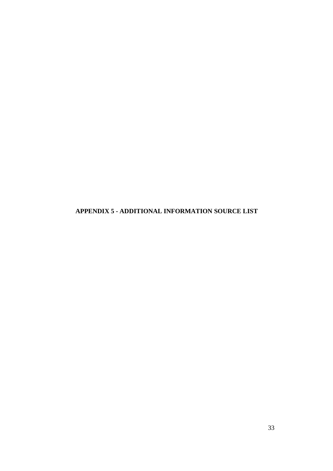**APPENDIX 5 - ADDITIONAL INFORMATION SOURCE LIST**